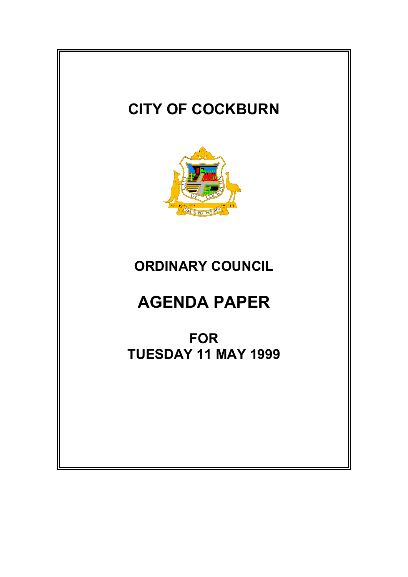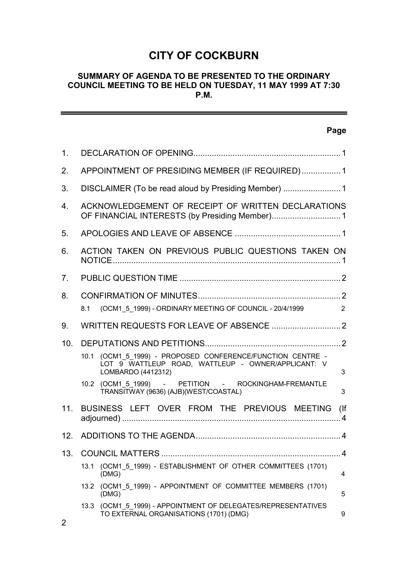# **CITY OF COCKBURN**

#### **SUMMARY OF AGENDA TO BE PRESENTED TO THE ORDINARY COUNCIL MEETING TO BE HELD ON TUESDAY, 11 MAY 1999 AT 7:30 P.M.**

|                 | Page                                                                                                                                           |  |
|-----------------|------------------------------------------------------------------------------------------------------------------------------------------------|--|
| 1.              |                                                                                                                                                |  |
| 2.              | APPOINTMENT OF PRESIDING MEMBER (IF REQUIRED) 1                                                                                                |  |
| 3.              |                                                                                                                                                |  |
| 4.              | ACKNOWLEDGEMENT OF RECEIPT OF WRITTEN DECLARATIONS                                                                                             |  |
| 5.              |                                                                                                                                                |  |
| 6.              | ACTION TAKEN ON PREVIOUS PUBLIC QUESTIONS TAKEN ON                                                                                             |  |
| 7 <sub>1</sub>  |                                                                                                                                                |  |
| 8.              | (OCM1_5_1999) - ORDINARY MEETING OF COUNCIL - 20/4/1999<br>2<br>8.1                                                                            |  |
| 9.              |                                                                                                                                                |  |
| 10 <sub>1</sub> |                                                                                                                                                |  |
|                 | (OCM1_5_1999) - PROPOSED CONFERENCE/FUNCTION CENTRE -<br>10.1<br>LOT 9 WATTLEUP ROAD, WATTLEUP - OWNER/APPLICANT: V<br>3<br>LOMBARDO (4412312) |  |
|                 | 10.2 (OCM1 5 1999) - PETITION - ROCKINGHAM-FREMANTLE<br>TRANSITWAY (9636) (AJB)(WEST/COASTAL)<br>3                                             |  |
| 11.             | BUSINESS LEFT OVER FROM THE PREVIOUS MEETING<br>(                                                                                              |  |
| 12.             |                                                                                                                                                |  |
| 13.             |                                                                                                                                                |  |
|                 | (OCM1_5_1999) - ESTABLISHMENT OF OTHER COMMITTEES (1701)<br>13.1<br>(DMG)<br>4                                                                 |  |
|                 | (OCM1 5 1999) - APPOINTMENT OF COMMITTEE MEMBERS (1701)<br>13.2<br>(DMG)<br>5                                                                  |  |
|                 | 13.3 (OCM1_5_1999) - APPOINTMENT OF DELEGATES/REPRESENTATIVES<br>TO EXTERNAL ORGANISATIONS (1701) (DMG)<br>9                                   |  |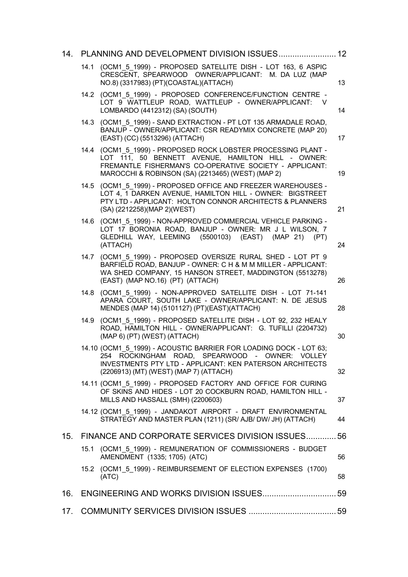| 14. | PLANNING AND DEVELOPMENT DIVISION ISSUES 12                                                                                                                                                                                         |    |
|-----|-------------------------------------------------------------------------------------------------------------------------------------------------------------------------------------------------------------------------------------|----|
|     | 14.1 (OCM1 5 1999) - PROPOSED SATELLITE DISH - LOT 163, 6 ASPIC<br>CRESCENT, SPEARWOOD OWNER/APPLICANT: M. DA LUZ (MAP<br>NO.8) (3317983) (PT)(COASTAL)(ATTACH)                                                                     | 13 |
|     | 14.2 (OCM1 5 1999) - PROPOSED CONFERENCE/FUNCTION CENTRE -<br>LOT 9 WATTLEUP ROAD, WATTLEUP - OWNER/APPLICANT:<br>- V<br>LOMBARDO (4412312) (SA) (SOUTH)                                                                            | 14 |
|     | 14.3 (OCM1 5 1999) - SAND EXTRACTION - PT LOT 135 ARMADALE ROAD,<br>BANJUP - OWNER/APPLICANT: CSR READYMIX CONCRETE (MAP 20)<br>(EAST) (CC) (5513296) (ATTACH)                                                                      | 17 |
|     | 14.4 (OCM1 5 1999) - PROPOSED ROCK LOBSTER PROCESSING PLANT -<br>LOT 111, 50 BENNETT AVENUE, HAMILTON HILL - OWNER:<br>FREMANTLE FISHERMAN'S CO-OPERATIVE SOCIETY - APPLICANT:<br>MAROCCHI & ROBINSON (SA) (2213465) (WEST) (MAP 2) | 19 |
|     | 14.5 (OCM1 5 1999) - PROPOSED OFFICE AND FREEZER WAREHOUSES -<br>LOT 4, 1 DARKEN AVENUE, HAMILTON HILL - OWNER: BIGSTREET<br>PTY LTD - APPLICANT: HOLTON CONNOR ARCHITECTS & PLANNERS<br>(SA) (2212258)(MAP 2)(WEST)                | 21 |
|     | 14.6 (OCM1 5 1999) - NON-APPROVED COMMERCIAL VEHICLE PARKING -<br>LOT 17 BORONIA ROAD, BANJUP - OWNER: MR J L WILSON, 7<br>GLEDHILL WAY, LEEMING (5500103) (EAST) (MAP 21)<br>(PT)<br>(ATTACH)                                      | 24 |
|     | 14.7 (OCM1 5 1999) - PROPOSED OVERSIZE RURAL SHED - LOT PT 9<br>BARFIELD ROAD, BANJUP - OWNER: C H & M M MILLER - APPLICANT:<br>WA SHED COMPANY, 15 HANSON STREET, MADDINGTON (5513278)<br>(EAST) (MAP NO.16) (PT) (ATTACH)         | 26 |
|     | 14.8 (OCM1_5_1999) - NON-APPROVED SATELLITE DISH - LOT 71-141<br>APARA COURT, SOUTH LAKE - OWNER/APPLICANT: N. DE JESUS<br>MENDES (MAP 14) (5101127) (PT)(EAST)(ATTACH)                                                             | 28 |
|     | 14.9 (OCM1 5 1999) - PROPOSED SATELLITE DISH - LOT 92, 232 HEALY<br>ROAD, HAMILTON HILL - OWNER/APPLICANT: G. TUFILLI (2204732)<br>(MAP 6) (PT) (WEST) (ATTACH)                                                                     | 30 |
|     | 14.10 (OCM1 5 1999) - ACOUSTIC BARRIER FOR LOADING DOCK - LOT 63;<br>254 ROCKINGHAM ROAD. SPEARWOOD - OWNER: VOLLEY<br><b>INVESTMENTS PTY LTD - APPLICANT: KEN PATERSON ARCHITECTS</b><br>(2206913) (MT) (WEST) (MAP 7) (ATTACH)    | 32 |
|     | 14.11 (OCM1 5 1999) - PROPOSED FACTORY AND OFFICE FOR CURING<br>OF SKINS AND HIDES - LOT 20 COCKBURN ROAD, HAMILTON HILL -<br>MILLS AND HASSALL (SMH) (2200603)                                                                     | 37 |
|     | 14.12 (OCM1_5_1999) - JANDAKOT AIRPORT - DRAFT ENVIRONMENTAL<br>STRATEGY AND MASTER PLAN (1211) (SR/ AJB/ DW/ JH) (ATTACH)                                                                                                          | 44 |
| 15. | FINANCE AND CORPORATE SERVICES DIVISION ISSUES 56                                                                                                                                                                                   |    |
|     | 15.1 (OCM1_5_1999) - REMUNERATION OF COMMISSIONERS - BUDGET<br>AMENDMENT (1335; 1705) (ATC)                                                                                                                                         | 56 |
|     | 15.2 (OCM1_5_1999) - REIMBURSEMENT OF ELECTION EXPENSES (1700)<br>(ATC)                                                                                                                                                             | 58 |
| 16. |                                                                                                                                                                                                                                     |    |
| 17. |                                                                                                                                                                                                                                     |    |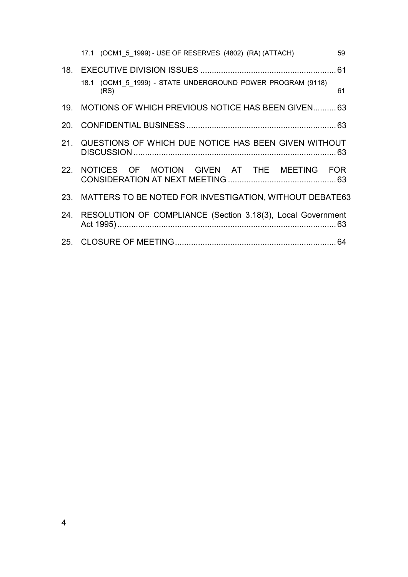| 17.1 (OCM1 5 1999) - USE OF RESERVES (4802) (RA) (ATTACH)           | 59 |
|---------------------------------------------------------------------|----|
|                                                                     |    |
| 18.1 (OCM1 5 1999) - STATE UNDERGROUND POWER PROGRAM (9118)<br>(RS) | 61 |
| 19. MOTIONS OF WHICH PREVIOUS NOTICE HAS BEEN GIVEN 63              |    |
|                                                                     |    |
| 21. QUESTIONS OF WHICH DUE NOTICE HAS BEEN GIVEN WITHOUT            |    |
| 22. NOTICES OF MOTION GIVEN AT THE MEETING FOR                      |    |
| 23. MATTERS TO BE NOTED FOR INVESTIGATION, WITHOUT DEBATE63         |    |
| 24. RESOLUTION OF COMPLIANCE (Section 3.18(3), Local Government     |    |
|                                                                     |    |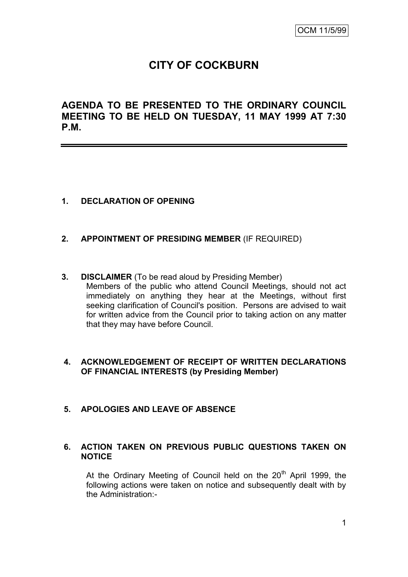# **CITY OF COCKBURN**

# **AGENDA TO BE PRESENTED TO THE ORDINARY COUNCIL MEETING TO BE HELD ON TUESDAY, 11 MAY 1999 AT 7:30 P.M.**

## **1. DECLARATION OF OPENING**

- **2. APPOINTMENT OF PRESIDING MEMBER** (IF REQUIRED)
- **3. DISCLAIMER** (To be read aloud by Presiding Member) Members of the public who attend Council Meetings, should not act immediately on anything they hear at the Meetings, without first seeking clarification of Council's position. Persons are advised to wait for written advice from the Council prior to taking action on any matter that they may have before Council.

## **4. ACKNOWLEDGEMENT OF RECEIPT OF WRITTEN DECLARATIONS OF FINANCIAL INTERESTS (by Presiding Member)**

#### **5. APOLOGIES AND LEAVE OF ABSENCE**

#### **6. ACTION TAKEN ON PREVIOUS PUBLIC QUESTIONS TAKEN ON NOTICE**

At the Ordinary Meeting of Council held on the  $20<sup>th</sup>$  April 1999, the following actions were taken on notice and subsequently dealt with by the Administration:-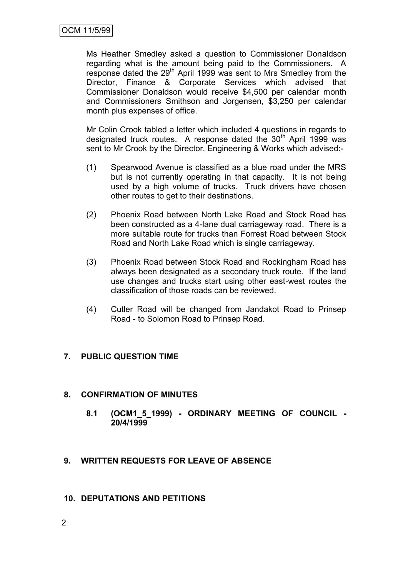Ms Heather Smedley asked a question to Commissioner Donaldson regarding what is the amount being paid to the Commissioners. A response dated the 29<sup>th</sup> April 1999 was sent to Mrs Smedley from the Director, Finance & Corporate Services which advised that Commissioner Donaldson would receive \$4,500 per calendar month and Commissioners Smithson and Jorgensen, \$3,250 per calendar month plus expenses of office.

Mr Colin Crook tabled a letter which included 4 questions in regards to designated truck routes. A response dated the  $30<sup>th</sup>$  April 1999 was sent to Mr Crook by the Director, Engineering & Works which advised:-

- (1) Spearwood Avenue is classified as a blue road under the MRS but is not currently operating in that capacity. It is not being used by a high volume of trucks. Truck drivers have chosen other routes to get to their destinations.
- (2) Phoenix Road between North Lake Road and Stock Road has been constructed as a 4-lane dual carriageway road. There is a more suitable route for trucks than Forrest Road between Stock Road and North Lake Road which is single carriageway.
- (3) Phoenix Road between Stock Road and Rockingham Road has always been designated as a secondary truck route. If the land use changes and trucks start using other east-west routes the classification of those roads can be reviewed.
- (4) Cutler Road will be changed from Jandakot Road to Prinsep Road - to Solomon Road to Prinsep Road.

# **7. PUBLIC QUESTION TIME**

# **8. CONFIRMATION OF MINUTES**

- **8.1 (OCM1\_5\_1999) - ORDINARY MEETING OF COUNCIL - 20/4/1999**
- **9. WRITTEN REQUESTS FOR LEAVE OF ABSENCE**
- **10. DEPUTATIONS AND PETITIONS**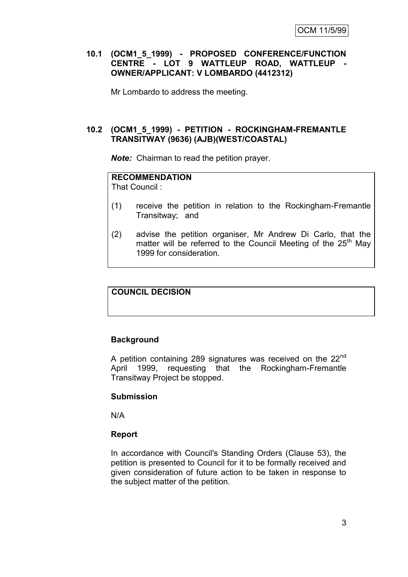#### **10.1 (OCM1\_5\_1999) - PROPOSED CONFERENCE/FUNCTION CENTRE - LOT 9 WATTLEUP ROAD, WATTLEUP - OWNER/APPLICANT: V LOMBARDO (4412312)**

Mr Lombardo to address the meeting.

#### **10.2 (OCM1\_5\_1999) - PETITION - ROCKINGHAM-FREMANTLE TRANSITWAY (9636) (AJB)(WEST/COASTAL)**

*Note:* Chairman to read the petition prayer.

#### **RECOMMENDATION**

That Council :

- (1) receive the petition in relation to the Rockingham-Fremantle Transitway; and
- (2) advise the petition organiser, Mr Andrew Di Carlo, that the matter will be referred to the Council Meeting of the  $25<sup>th</sup>$  May 1999 for consideration.

#### **COUNCIL DECISION**

#### **Background**

A petition containing 289 signatures was received on the 22<sup>nd</sup> April 1999, requesting that the Rockingham-Fremantle Transitway Project be stopped.

#### **Submission**

N/A

#### **Report**

In accordance with Council's Standing Orders (Clause 53), the petition is presented to Council for it to be formally received and given consideration of future action to be taken in response to the subject matter of the petition.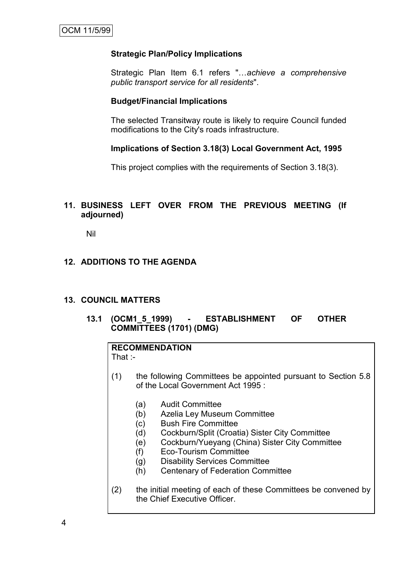# **Strategic Plan/Policy Implications**

Strategic Plan Item 6.1 refers "…*achieve a comprehensive public transport service for all residents*".

# **Budget/Financial Implications**

The selected Transitway route is likely to require Council funded modifications to the City's roads infrastructure.

## **Implications of Section 3.18(3) Local Government Act, 1995**

This project complies with the requirements of Section 3.18(3).

# **11. BUSINESS LEFT OVER FROM THE PREVIOUS MEETING (If adjourned)**

Nil

# **12. ADDITIONS TO THE AGENDA**

# **13. COUNCIL MATTERS**

**13.1 (OCM1\_5\_1999) - ESTABLISHMENT OF OTHER COMMITTEES (1701) (DMG)**

# **RECOMMENDATION**

That :-

- (1) the following Committees be appointed pursuant to Section 5.8 of the Local Government Act 1995 :
	- (a) Audit Committee
	- (b) Azelia Ley Museum Committee
	- (c) Bush Fire Committee
	- (d) Cockburn/Split (Croatia) Sister City Committee
	- (e) Cockburn/Yueyang (China) Sister City Committee
	- (f) Eco-Tourism Committee
	- (g) Disability Services Committee
	- (h) Centenary of Federation Committee
- (2) the initial meeting of each of these Committees be convened by the Chief Executive Officer.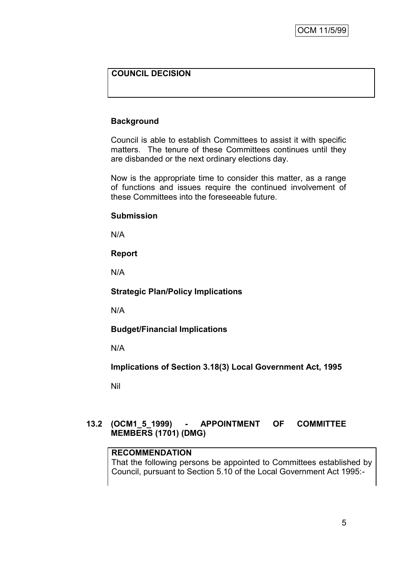# **COUNCIL DECISION**

## **Background**

Council is able to establish Committees to assist it with specific matters. The tenure of these Committees continues until they are disbanded or the next ordinary elections day.

Now is the appropriate time to consider this matter, as a range of functions and issues require the continued involvement of these Committees into the foreseeable future.

#### **Submission**

N/A

**Report**

N/A

**Strategic Plan/Policy Implications**

N/A

**Budget/Financial Implications**

N/A

**Implications of Section 3.18(3) Local Government Act, 1995**

Nil

## **13.2 (OCM1\_5\_1999) - APPOINTMENT OF COMMITTEE MEMBERS (1701) (DMG)**

#### **RECOMMENDATION**

That the following persons be appointed to Committees established by Council, pursuant to Section 5.10 of the Local Government Act 1995:-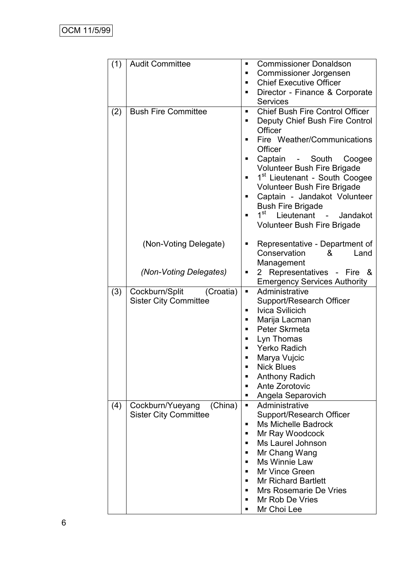| (1) | <b>Audit Committee</b>                                      | <b>Commissioner Donaldson</b><br>٠<br><b>Commissioner Jorgensen</b><br>п<br><b>Chief Executive Officer</b><br>▪<br>Director - Finance & Corporate<br>٠<br><b>Services</b>                                                                                                                                                                                                                                                       |
|-----|-------------------------------------------------------------|---------------------------------------------------------------------------------------------------------------------------------------------------------------------------------------------------------------------------------------------------------------------------------------------------------------------------------------------------------------------------------------------------------------------------------|
| (2) | <b>Bush Fire Committee</b>                                  | <b>Chief Bush Fire Control Officer</b><br>Ξ<br>Deputy Chief Bush Fire Control<br>٠<br>Officer<br>Fire Weather/Communications<br>Officer<br>Captain - South Coogee<br>Volunteer Bush Fire Brigade<br>1 <sup>st</sup> Lieutenant - South Coogee<br>Volunteer Bush Fire Brigade<br>Captain - Jandakot Volunteer<br>Π<br><b>Bush Fire Brigade</b><br>1 <sup>st</sup><br>Lieutenant - Jandakot<br><b>Volunteer Bush Fire Brigade</b> |
|     | (Non-Voting Delegate)                                       | Representative - Department of<br>Π<br>Conservation<br>&<br>Land<br>Management                                                                                                                                                                                                                                                                                                                                                  |
|     | (Non-Voting Delegates)                                      | 2 Representatives - Fire &<br>П<br><b>Emergency Services Authority</b>                                                                                                                                                                                                                                                                                                                                                          |
| (3) | Cockburn/Split<br>(Croatia)<br><b>Sister City Committee</b> | Administrative<br>×,<br>Support/Research Officer<br><b>Ivica Svilicich</b><br>п<br>Marija Lacman<br>п<br>Peter Skrmeta<br>▪<br>Lyn Thomas<br><b>Yerko Radich</b><br>Marya Vujcic<br>■<br><b>Nick Blues</b><br><b>Anthony Radich</b><br>Ante Zorotovic<br>п<br>Angela Separovich                                                                                                                                                 |
| (4) | (China)<br>Cockburn/Yueyang<br><b>Sister City Committee</b> | Administrative<br>Support/Research Officer<br><b>Ms Michelle Badrock</b><br>▪<br>Mr Ray Woodcock<br>٠<br>Ms Laurel Johnson<br>٠<br>Mr Chang Wang<br>Ms Winnie Law<br><b>Mr Vince Green</b><br>٠<br><b>Mr Richard Bartlett</b><br>Mrs Rosemarie De Vries<br>٠<br>Mr Rob De Vries<br>٠<br>Mr Choi Lee<br>■                                                                                                                        |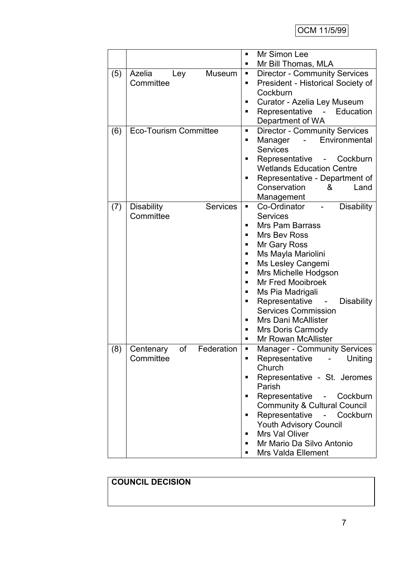|     |                                      | Mr Simon Lee<br>$\blacksquare$                            |
|-----|--------------------------------------|-----------------------------------------------------------|
|     |                                      | Mr Bill Thomas, MLA<br>п                                  |
| (5) | Azelia<br>Museum<br>Ley              | <b>Director - Community Services</b><br>п                 |
|     | Committee                            | President - Historical Society of<br>٠                    |
|     |                                      | Cockburn                                                  |
|     |                                      | Curator - Azelia Ley Museum                               |
|     |                                      | Representative - Education<br>п                           |
|     |                                      | Department of WA                                          |
| (6) | <b>Eco-Tourism Committee</b>         | <b>Director - Community Services</b><br>п                 |
|     |                                      | Environmental<br>Manager<br>$\overline{\phantom{0}}$<br>٠ |
|     |                                      | <b>Services</b>                                           |
|     |                                      | Representative<br>Cockburn                                |
|     |                                      | <b>Wetlands Education Centre</b>                          |
|     |                                      | Representative - Department of<br>п                       |
|     |                                      | Conservation<br>Land<br>&                                 |
|     |                                      | Management                                                |
| (7) | <b>Disability</b><br><b>Services</b> | Co-Ordinator<br><b>Disability</b><br>٠                    |
|     | Committee                            | <b>Services</b>                                           |
|     |                                      | <b>Mrs Pam Barrass</b>                                    |
|     |                                      | Mrs Bev Ross                                              |
|     |                                      | Mr Gary Ross<br>п                                         |
|     |                                      | Ms Mayla Mariolini<br>п                                   |
|     |                                      | Ms Lesley Cangemi<br>п                                    |
|     |                                      | Mrs Michelle Hodgson<br>п                                 |
|     |                                      | <b>Mr Fred Mooibroek</b>                                  |
|     |                                      | Ms Pia Madrigali<br>п                                     |
|     |                                      | Representative<br><b>Disability</b><br>п                  |
|     |                                      | <b>Services Commission</b>                                |
|     |                                      | <b>Mrs Dani McAllister</b><br>п                           |
|     |                                      | <b>Mrs Doris Carmody</b><br>п                             |
|     |                                      | <b>Mr Rowan McAllister</b><br>▪                           |
| (8) | of<br>Federation<br>Centenary        | <b>Manager - Community Services</b><br>П                  |
|     | Committee                            | Representative -<br>Uniting                               |
|     |                                      | Church                                                    |
|     |                                      | Representative - St. Jeromes<br>п                         |
|     |                                      | Parish                                                    |
|     |                                      | Representative -<br>Cockburn<br>٠                         |
|     |                                      | <b>Community &amp; Cultural Council</b>                   |
|     |                                      | Representative - Cockburn<br>٠                            |
|     |                                      | Youth Advisory Council                                    |
|     |                                      | Mrs Val Oliver<br>п                                       |
|     |                                      | Mr Mario Da Silvo Antonio<br>п                            |
|     |                                      | <b>Mrs Valda Ellement</b>                                 |

# **COUNCIL DECISION**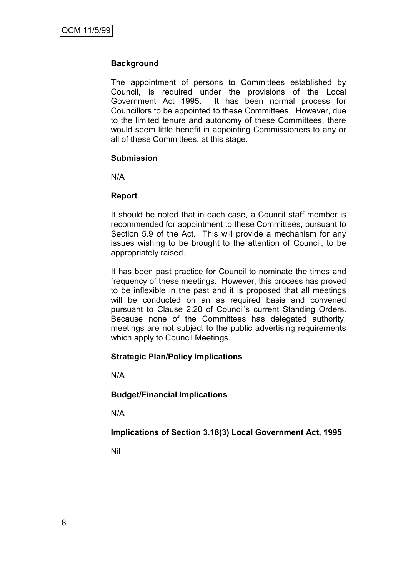#### **Background**

The appointment of persons to Committees established by Council, is required under the provisions of the Local Government Act 1995. It has been normal process for Councillors to be appointed to these Committees. However, due to the limited tenure and autonomy of these Committees, there would seem little benefit in appointing Commissioners to any or all of these Committees, at this stage.

#### **Submission**

N/A

#### **Report**

It should be noted that in each case, a Council staff member is recommended for appointment to these Committees, pursuant to Section 5.9 of the Act. This will provide a mechanism for any issues wishing to be brought to the attention of Council, to be appropriately raised.

It has been past practice for Council to nominate the times and frequency of these meetings. However, this process has proved to be inflexible in the past and it is proposed that all meetings will be conducted on an as required basis and convened pursuant to Clause 2.20 of Council's current Standing Orders. Because none of the Committees has delegated authority, meetings are not subject to the public advertising requirements which apply to Council Meetings.

#### **Strategic Plan/Policy Implications**

N/A

**Budget/Financial Implications**

N/A

**Implications of Section 3.18(3) Local Government Act, 1995**

Nil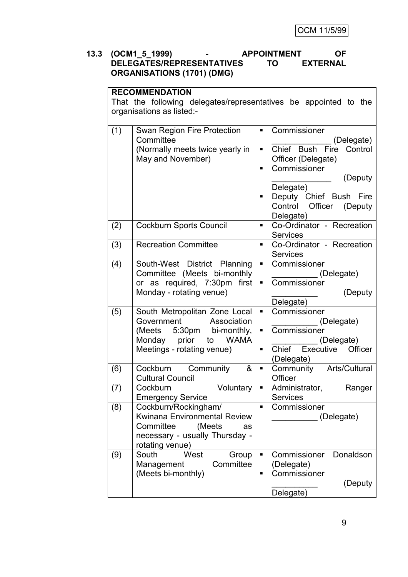### **13.3 (OCM1\_5\_1999) - APPOINTMENT OF DELEGATES/REPRESENTATIVES ORGANISATIONS (1701) (DMG)**

# **RECOMMENDATION**

That the following delegates/representatives be appointed to the organisations as listed:-

| (1) | Swan Region Fire Protection<br>Committee<br>(Normally meets twice yearly in<br>May and November)                                                        | ٠<br>Π<br>٠         | Commissioner<br>(Delegate)<br>Chief Bush<br>Fire<br>Control<br>Officer (Delegate)<br>Commissioner<br>(Deputy<br>Delegate)<br>Deputy Chief Bush Fire<br>Control<br>Officer<br>(Deputy) |
|-----|---------------------------------------------------------------------------------------------------------------------------------------------------------|---------------------|---------------------------------------------------------------------------------------------------------------------------------------------------------------------------------------|
| (2) | <b>Cockburn Sports Council</b>                                                                                                                          | $\blacksquare$      | Delegate)<br>Co-Ordinator - Recreation<br><b>Services</b>                                                                                                                             |
| (3) | <b>Recreation Committee</b>                                                                                                                             | ٠                   | Co-Ordinator - Recreation<br><b>Services</b>                                                                                                                                          |
| (4) | South-West District Planning<br>Committee (Meets bi-monthly<br>or as required, 7:30pm first<br>Monday - rotating venue)                                 | п<br>٠              | Commissioner<br>(Delegate)<br>Commissioner<br>(Deputy<br>Delegate)                                                                                                                    |
| (5) | South Metropolitan Zone Local<br>Association<br>Government<br>(Meets 5:30pm bi-monthly,<br>Monday prior to<br><b>WAMA</b><br>Meetings - rotating venue) | ٠<br>٠<br>٠         | Commissioner<br>(Delegate)<br>Commissioner<br>(Delegate)<br>Chief Executive Officer<br>(Delegate)                                                                                     |
| (6) | Cockburn Community<br>&<br><b>Cultural Council</b>                                                                                                      | ٠                   | Community Arts/Cultural<br>Officer                                                                                                                                                    |
| (7) | Cockburn<br>Voluntary<br><b>Emergency Service</b>                                                                                                       | ٠                   | Administrator,<br>Ranger<br><b>Services</b>                                                                                                                                           |
| (8) | Cockburn/Rockingham/<br>Kwinana Environmental Review<br>Committee<br>(Meets<br>as<br>necessary - usually Thursday -<br>rotating venue)                  | $\blacksquare$      | Commissioner<br>(Delegate)                                                                                                                                                            |
| (9) | South<br>West<br>Group<br>Committee<br>Management<br>(Meets bi-monthly)                                                                                 | $\blacksquare$<br>٠ | Commissioner<br>Donaldson<br>(Delegate)<br>Commissioner<br>(Deputy<br>Delegate)                                                                                                       |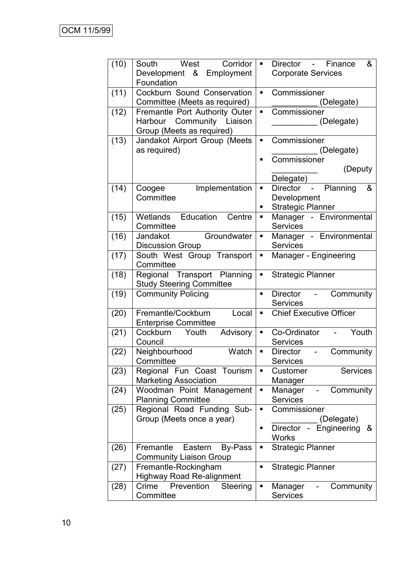| (10) | West<br>Corridor<br>South<br>Development &<br>Employment       | п.             | &<br>Director - Finance<br><b>Corporate Services</b> |
|------|----------------------------------------------------------------|----------------|------------------------------------------------------|
|      | Foundation                                                     |                |                                                      |
| (11) | Cockburn Sound Conservation                                    | ٠              | Commissioner                                         |
|      | Committee (Meets as required)                                  |                | (Delegate)                                           |
| (12) | Fremantle Port Authority Outer                                 | Ξ              | Commissioner                                         |
|      | Harbour Community Liaison<br>Group (Meets as required)         |                | (Delegate)                                           |
| (13) | Jandakot Airport Group (Meets                                  | $\blacksquare$ | Commissioner                                         |
|      | as required)                                                   |                | (Delegate)                                           |
|      |                                                                | п              | Commissioner                                         |
|      |                                                                |                | (Deputy                                              |
|      |                                                                | g,             | Delegate)<br>Director - Planning<br>&                |
| (14) | Implementation<br>Coogee<br>Committee                          |                | Development                                          |
|      |                                                                | ٠              | <b>Strategic Planner</b>                             |
| (15) | Wetlands Education<br>Centre                                   | ш              | Manager - Environmental                              |
|      | Committee                                                      |                | <b>Services</b>                                      |
| (16) | Groundwater<br>Jandakot                                        | Ξ              | Manager - Environmental                              |
|      | <b>Discussion Group</b>                                        |                | <b>Services</b>                                      |
| (17) | South West Group Transport                                     | Ξ              | Manager - Engineering                                |
|      | Committee                                                      |                |                                                      |
| (18) | Regional Transport Planning<br><b>Study Steering Committee</b> | Π              | <b>Strategic Planner</b>                             |
| (19) | <b>Community Policing</b>                                      | ٠              | Community<br>Director<br>$\sim 10^{-10}$             |
|      |                                                                |                | <b>Services</b>                                      |
| (20) | Fremantle/Cockburn<br>Local                                    | ٠              | <b>Chief Executive Officer</b>                       |
|      | <b>Enterprise Committee</b>                                    |                |                                                      |
| (21) | Cockburn<br>Advisory<br>Youth                                  | П              | Co-Ordinator<br>Youth                                |
|      | Council                                                        |                | <b>Services</b>                                      |
| (22) | Neighbourhood<br>Watch                                         | Π              | Community<br><b>Director</b><br>$\blacksquare$       |
|      | Committee                                                      |                | <b>Services</b>                                      |
| (23) | Regional Fun Coast Tourism<br><b>Marketing Association</b>     | п              | Customer<br><b>Services</b>                          |
| (24) | Woodman Point Management                                       | Ξ              | Manager<br>Manager<br>Community                      |
|      | <b>Planning Committee</b>                                      |                | <b>Services</b>                                      |
| (25) | Regional Road Funding Sub-                                     | ш              | Commissioner                                         |
|      | Group (Meets once a year)                                      |                | (Delegate)                                           |
|      |                                                                |                | Director<br>Engineering<br>&<br>$\frac{1}{2}$        |
|      |                                                                |                | <b>Works</b>                                         |
| (26) | Fremantle Eastern<br>By-Pass                                   | П              | <b>Strategic Planner</b>                             |
|      | <b>Community Liaison Group</b>                                 |                |                                                      |
| (27) | Fremantle-Rockingham                                           | $\blacksquare$ | <b>Strategic Planner</b>                             |
|      | <b>Highway Road Re-alignment</b>                               |                |                                                      |
| (28) | Crime<br>Prevention<br>Steering                                |                | Manager<br>Community                                 |
|      | Committee                                                      |                | <b>Services</b>                                      |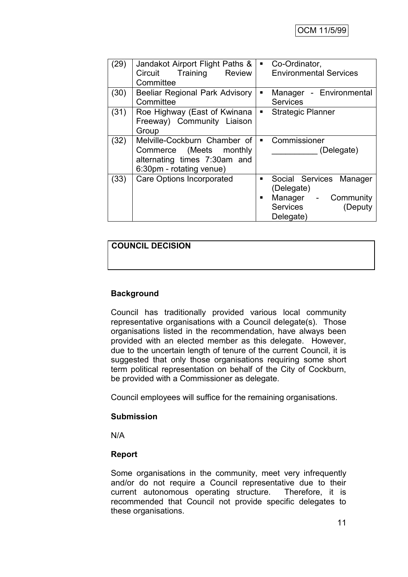| (29) | Jandakot Airport Flight Paths &<br>Circuit Training Review<br>Committee                                             | п.             | Co-Ordinator,<br><b>Environmental Services</b>                                                                         |
|------|---------------------------------------------------------------------------------------------------------------------|----------------|------------------------------------------------------------------------------------------------------------------------|
| (30) | <b>Beeliar Regional Park Advisory</b><br>Committee                                                                  |                | Manager - Environmental<br><b>Services</b>                                                                             |
| (31) | Roe Highway (East of Kwinana<br>Freeway) Community Liaison<br>Group                                                 | $\blacksquare$ | <b>Strategic Planner</b>                                                                                               |
| (32) | Melville-Cockburn Chamber of<br>Commerce (Meets monthly<br>alternating times 7:30am and<br>6:30pm - rotating venue) |                | Commissioner<br>(Delegate)                                                                                             |
| (33) | Care Options Incorporated                                                                                           |                | Social Services<br>Manager<br>(Delegate)<br>Manager<br>Community<br>$\blacksquare$<br>Services<br>Deputy)<br>Delegate) |

# **COUNCIL DECISION**

# **Background**

Council has traditionally provided various local community representative organisations with a Council delegate(s). Those organisations listed in the recommendation, have always been provided with an elected member as this delegate. However, due to the uncertain length of tenure of the current Council, it is suggested that only those organisations requiring some short term political representation on behalf of the City of Cockburn, be provided with a Commissioner as delegate.

Council employees will suffice for the remaining organisations.

#### **Submission**

N/A

#### **Report**

Some organisations in the community, meet very infrequently and/or do not require a Council representative due to their current autonomous operating structure. Therefore, it is recommended that Council not provide specific delegates to these organisations.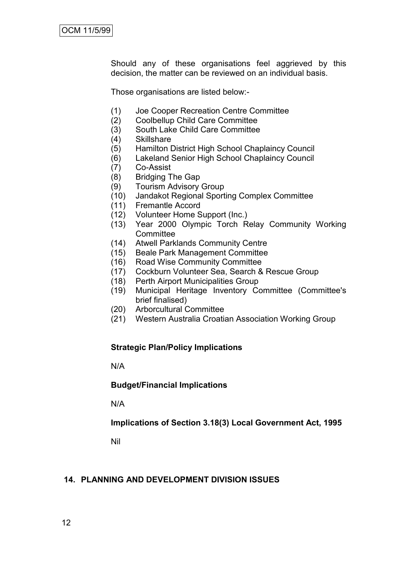Should any of these organisations feel aggrieved by this decision, the matter can be reviewed on an individual basis.

Those organisations are listed below:-

- (1) Joe Cooper Recreation Centre Committee
- (2) Coolbellup Child Care Committee
- (3) South Lake Child Care Committee<br>(4) Skillshare
- **Skillshare**
- (5) Hamilton District High School Chaplaincy Council
- (6) Lakeland Senior High School Chaplaincy Council
- (7) Co-Assist
- (8) Bridging The Gap
- (9) Tourism Advisory Group
- (10) Jandakot Regional Sporting Complex Committee
- (11) Fremantle Accord
- (12) Volunteer Home Support (Inc.)
- (13) Year 2000 Olympic Torch Relay Community Working **Committee**
- (14) Atwell Parklands Community Centre
- (15) Beale Park Management Committee
- (16) Road Wise Community Committee
- (17) Cockburn Volunteer Sea, Search & Rescue Group
- (18) Perth Airport Municipalities Group
- (19) Municipal Heritage Inventory Committee (Committee's brief finalised)
- (20) Arborcultural Committee
- (21) Western Australia Croatian Association Working Group

#### **Strategic Plan/Policy Implications**

N/A

#### **Budget/Financial Implications**

N/A

#### **Implications of Section 3.18(3) Local Government Act, 1995**

Nil

#### **14. PLANNING AND DEVELOPMENT DIVISION ISSUES**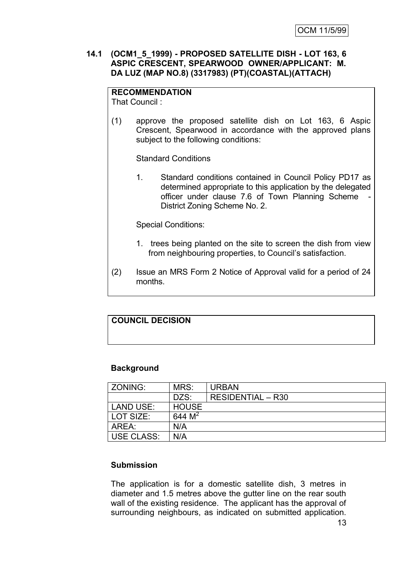#### **14.1 (OCM1\_5\_1999) - PROPOSED SATELLITE DISH - LOT 163, 6 ASPIC CRESCENT, SPEARWOOD OWNER/APPLICANT: M. DA LUZ (MAP NO.8) (3317983) (PT)(COASTAL)(ATTACH)**

**RECOMMENDATION** That Council :

(1) approve the proposed satellite dish on Lot 163, 6 Aspic Crescent, Spearwood in accordance with the approved plans subject to the following conditions:

Standard Conditions

1. Standard conditions contained in Council Policy PD17 as determined appropriate to this application by the delegated officer under clause 7.6 of Town Planning Scheme District Zoning Scheme No. 2.

Special Conditions:

- 1. trees being planted on the site to screen the dish from view from neighbouring properties, to Council"s satisfaction.
- (2) Issue an MRS Form 2 Notice of Approval valid for a period of 24 months.

#### **COUNCIL DECISION**

#### **Background**

| ZONING:           | MRS:         | <b>URBAN</b>             |
|-------------------|--------------|--------------------------|
|                   | DZS:         | <b>RESIDENTIAL - R30</b> |
| LAND USE:         | <b>HOUSE</b> |                          |
| LOT SIZE:         | 644 $M^2$    |                          |
| ARFA :            | N/A          |                          |
| <b>USE CLASS:</b> | N/A          |                          |

#### **Submission**

The application is for a domestic satellite dish, 3 metres in diameter and 1.5 metres above the gutter line on the rear south wall of the existing residence. The applicant has the approval of surrounding neighbours, as indicated on submitted application.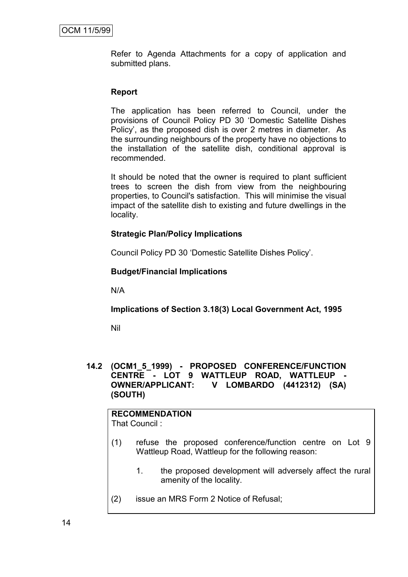Refer to Agenda Attachments for a copy of application and submitted plans.

#### **Report**

The application has been referred to Council, under the provisions of Council Policy PD 30 "Domestic Satellite Dishes Policy", as the proposed dish is over 2 metres in diameter. As the surrounding neighbours of the property have no objections to the installation of the satellite dish, conditional approval is recommended.

It should be noted that the owner is required to plant sufficient trees to screen the dish from view from the neighbouring properties, to Council's satisfaction. This will minimise the visual impact of the satellite dish to existing and future dwellings in the locality.

#### **Strategic Plan/Policy Implications**

Council Policy PD 30 "Domestic Satellite Dishes Policy".

#### **Budget/Financial Implications**

N/A

#### **Implications of Section 3.18(3) Local Government Act, 1995**

Nil

#### **14.2 (OCM1\_5\_1999) - PROPOSED CONFERENCE/FUNCTION CENTRE - LOT 9 WATTLEUP ROAD, WATTLEUP - OWNER/APPLICANT: V LOMBARDO (4412312) (SA) (SOUTH)**

# **RECOMMENDATION**

That Council :

- (1) refuse the proposed conference/function centre on Lot 9 Wattleup Road, Wattleup for the following reason:
	- 1. the proposed development will adversely affect the rural amenity of the locality.
- (2) issue an MRS Form 2 Notice of Refusal;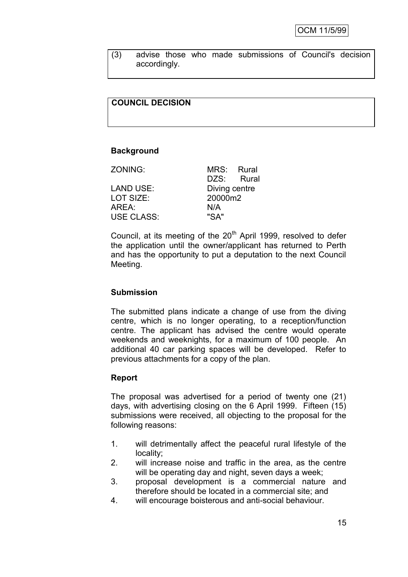(3) advise those who made submissions of Council's decision accordingly.

## **COUNCIL DECISION**

#### **Background**

| ZONING:           | MRS: Rural    |  |
|-------------------|---------------|--|
|                   | DZS: Rural    |  |
| LAND USE:         | Diving centre |  |
| LOT SIZE:         | 20000m2       |  |
| AREA:             | N/A           |  |
| <b>USE CLASS:</b> | "SA"          |  |
|                   |               |  |

Council, at its meeting of the 20<sup>th</sup> April 1999, resolved to defer the application until the owner/applicant has returned to Perth and has the opportunity to put a deputation to the next Council Meeting.

#### **Submission**

The submitted plans indicate a change of use from the diving centre, which is no longer operating, to a reception/function centre. The applicant has advised the centre would operate weekends and weeknights, for a maximum of 100 people. An additional 40 car parking spaces will be developed. Refer to previous attachments for a copy of the plan.

#### **Report**

The proposal was advertised for a period of twenty one (21) days, with advertising closing on the 6 April 1999. Fifteen (15) submissions were received, all objecting to the proposal for the following reasons:

- 1. will detrimentally affect the peaceful rural lifestyle of the locality;
- 2. will increase noise and traffic in the area, as the centre will be operating day and night, seven days a week;
- 3. proposal development is a commercial nature and therefore should be located in a commercial site; and
- 4. will encourage boisterous and anti-social behaviour.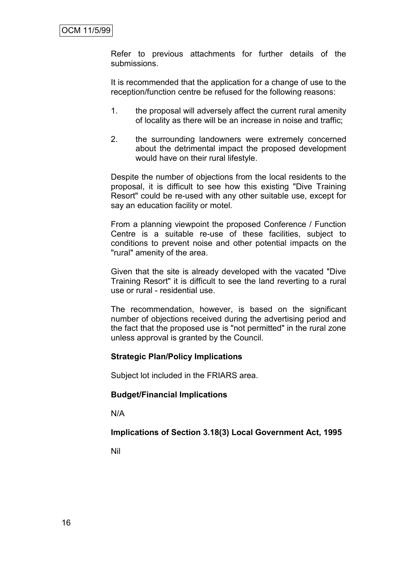Refer to previous attachments for further details of the submissions.

It is recommended that the application for a change of use to the reception/function centre be refused for the following reasons:

- 1. the proposal will adversely affect the current rural amenity of locality as there will be an increase in noise and traffic;
- 2. the surrounding landowners were extremely concerned about the detrimental impact the proposed development would have on their rural lifestyle.

Despite the number of objections from the local residents to the proposal, it is difficult to see how this existing "Dive Training Resort" could be re-used with any other suitable use, except for say an education facility or motel.

From a planning viewpoint the proposed Conference / Function Centre is a suitable re-use of these facilities, subject to conditions to prevent noise and other potential impacts on the "rural" amenity of the area.

Given that the site is already developed with the vacated "Dive Training Resort" it is difficult to see the land reverting to a rural use or rural - residential use.

The recommendation, however, is based on the significant number of objections received during the advertising period and the fact that the proposed use is "not permitted" in the rural zone unless approval is granted by the Council.

# **Strategic Plan/Policy Implications**

Subject lot included in the FRIARS area.

#### **Budget/Financial Implications**

N/A

# **Implications of Section 3.18(3) Local Government Act, 1995**

Nil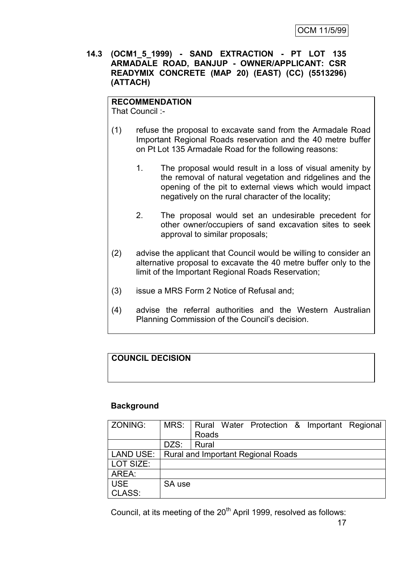**14.3 (OCM1\_5\_1999) - SAND EXTRACTION - PT LOT 135 ARMADALE ROAD, BANJUP - OWNER/APPLICANT: CSR READYMIX CONCRETE (MAP 20) (EAST) (CC) (5513296) (ATTACH)**

# **RECOMMENDATION**

That Council :-

- (1) refuse the proposal to excavate sand from the Armadale Road Important Regional Roads reservation and the 40 metre buffer on Pt Lot 135 Armadale Road for the following reasons:
	- 1. The proposal would result in a loss of visual amenity by the removal of natural vegetation and ridgelines and the opening of the pit to external views which would impact negatively on the rural character of the locality;
	- 2. The proposal would set an undesirable precedent for other owner/occupiers of sand excavation sites to seek approval to similar proposals;
- (2) advise the applicant that Council would be willing to consider an alternative proposal to excavate the 40 metre buffer only to the limit of the Important Regional Roads Reservation;
- (3) issue a MRS Form 2 Notice of Refusal and;
- (4) advise the referral authorities and the Western Australian Planning Commission of the Council"s decision.

# **COUNCIL DECISION**

#### **Background**

| ZONING:                                        |        |       | MRS:   Rural Water Protection & Important Regional |  |  |
|------------------------------------------------|--------|-------|----------------------------------------------------|--|--|
|                                                |        | Roads |                                                    |  |  |
|                                                | DZS:   | Rural |                                                    |  |  |
| LAND USE:   Rural and Important Regional Roads |        |       |                                                    |  |  |
| LOT SIZE:                                      |        |       |                                                    |  |  |
| AREA:                                          |        |       |                                                    |  |  |
| <b>USE</b>                                     | SA use |       |                                                    |  |  |
| CLASS:                                         |        |       |                                                    |  |  |

Council, at its meeting of the 20<sup>th</sup> April 1999, resolved as follows: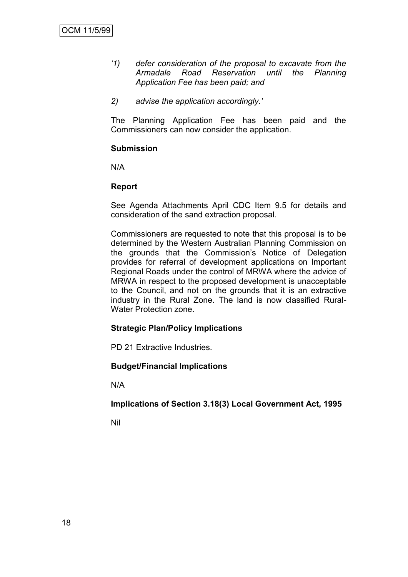- *"1) defer consideration of the proposal to excavate from the Armadale Road Reservation until the Planning Application Fee has been paid; and*
- *2) advise the application accordingly."*

The Planning Application Fee has been paid and the Commissioners can now consider the application.

#### **Submission**

N/A

## **Report**

See Agenda Attachments April CDC Item 9.5 for details and consideration of the sand extraction proposal.

Commissioners are requested to note that this proposal is to be determined by the Western Australian Planning Commission on the grounds that the Commission"s Notice of Delegation provides for referral of development applications on Important Regional Roads under the control of MRWA where the advice of MRWA in respect to the proposed development is unacceptable to the Council, and not on the grounds that it is an extractive industry in the Rural Zone. The land is now classified Rural-Water Protection zone.

#### **Strategic Plan/Policy Implications**

PD 21 Extractive Industries.

# **Budget/Financial Implications**

N/A

**Implications of Section 3.18(3) Local Government Act, 1995**

Nil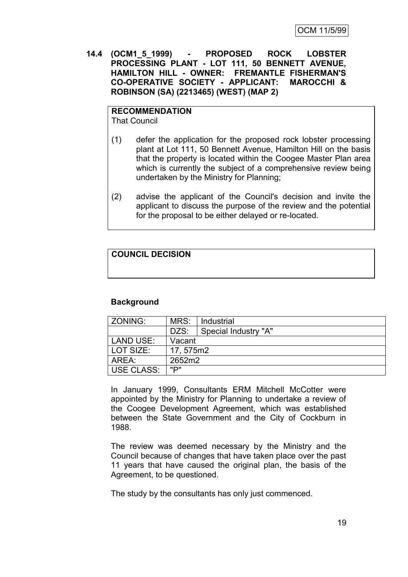**14.4 (OCM1\_5\_1999) - PROPOSED ROCK LOBSTER PROCESSING PLANT - LOT 111, 50 BENNETT AVENUE, HAMILTON HILL - OWNER: FREMANTLE FISHERMAN'S CO-OPERATIVE SOCIETY - APPLICANT: MAROCCHI & ROBINSON (SA) (2213465) (WEST) (MAP 2)**

# **RECOMMENDATION**

That Council

- (1) defer the application for the proposed rock lobster processing plant at Lot 111, 50 Bennett Avenue, Hamilton Hill on the basis that the property is located within the Coogee Master Plan area which is currently the subject of a comprehensive review being undertaken by the Ministry for Planning;
- (2) advise the applicant of the Council's decision and invite the applicant to discuss the purpose of the review and the potential for the proposal to be either delayed or re-located.

# **COUNCIL DECISION**

#### **Background**

| ZONING:     | MRS:<br>Industrial |                      |  |  |  |
|-------------|--------------------|----------------------|--|--|--|
|             | DZS:               | Special Industry "A" |  |  |  |
| LAND USE:   | Vacant             |                      |  |  |  |
| l LOT SIZE: | 17, 575m2          |                      |  |  |  |
| AREA:       | 2652m2             |                      |  |  |  |
| USE CLASS:  | יים"               |                      |  |  |  |

In January 1999, Consultants ERM Mitchell McCotter were appointed by the Ministry for Planning to undertake a review of the Coogee Development Agreement, which was established between the State Government and the City of Cockburn in 1988.

The review was deemed necessary by the Ministry and the Council because of changes that have taken place over the past 11 years that have caused the original plan, the basis of the Agreement, to be questioned.

The study by the consultants has only just commenced.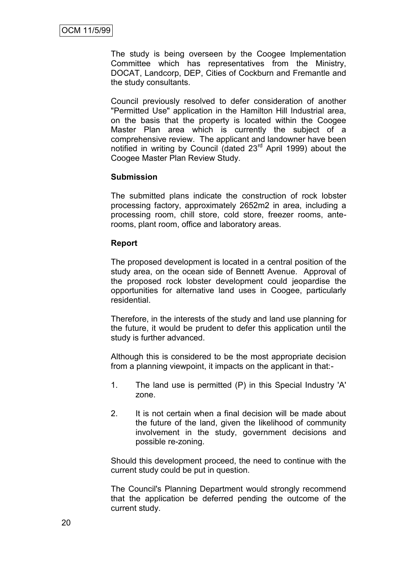The study is being overseen by the Coogee Implementation Committee which has representatives from the Ministry, DOCAT, Landcorp, DEP, Cities of Cockburn and Fremantle and the study consultants.

Council previously resolved to defer consideration of another "Permitted Use" application in the Hamilton Hill Industrial area, on the basis that the property is located within the Coogee Master Plan area which is currently the subject of a comprehensive review. The applicant and landowner have been notified in writing by Council (dated 23<sup>rd</sup> April 1999) about the Coogee Master Plan Review Study.

#### **Submission**

The submitted plans indicate the construction of rock lobster processing factory, approximately 2652m2 in area, including a processing room, chill store, cold store, freezer rooms, anterooms, plant room, office and laboratory areas.

#### **Report**

The proposed development is located in a central position of the study area, on the ocean side of Bennett Avenue. Approval of the proposed rock lobster development could jeopardise the opportunities for alternative land uses in Coogee, particularly residential.

Therefore, in the interests of the study and land use planning for the future, it would be prudent to defer this application until the study is further advanced.

Although this is considered to be the most appropriate decision from a planning viewpoint, it impacts on the applicant in that:-

- 1. The land use is permitted (P) in this Special Industry 'A' zone.
- 2. It is not certain when a final decision will be made about the future of the land, given the likelihood of community involvement in the study, government decisions and possible re-zoning.

Should this development proceed, the need to continue with the current study could be put in question.

The Council's Planning Department would strongly recommend that the application be deferred pending the outcome of the current study.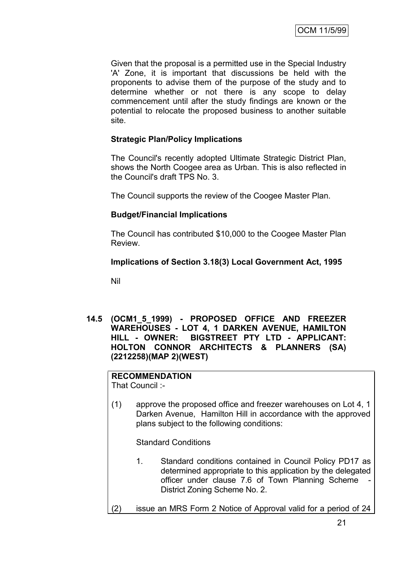Given that the proposal is a permitted use in the Special Industry 'A' Zone, it is important that discussions be held with the proponents to advise them of the purpose of the study and to determine whether or not there is any scope to delay commencement until after the study findings are known or the potential to relocate the proposed business to another suitable site.

## **Strategic Plan/Policy Implications**

The Council's recently adopted Ultimate Strategic District Plan, shows the North Coogee area as Urban. This is also reflected in the Council's draft TPS No. 3.

The Council supports the review of the Coogee Master Plan.

#### **Budget/Financial Implications**

The Council has contributed \$10,000 to the Coogee Master Plan Review.

#### **Implications of Section 3.18(3) Local Government Act, 1995**

Nil

**14.5 (OCM1\_5\_1999) - PROPOSED OFFICE AND FREEZER WAREHOUSES - LOT 4, 1 DARKEN AVENUE, HAMILTON HILL - OWNER: BIGSTREET PTY LTD - APPLICANT: HOLTON CONNOR ARCHITECTS & PLANNERS (SA) (2212258)(MAP 2)(WEST)**

#### **RECOMMENDATION** That Council :-

(1) approve the proposed office and freezer warehouses on Lot 4, 1 Darken Avenue, Hamilton Hill in accordance with the approved plans subject to the following conditions:

Standard Conditions

- 1. Standard conditions contained in Council Policy PD17 as determined appropriate to this application by the delegated officer under clause 7.6 of Town Planning Scheme District Zoning Scheme No. 2.
- (2) issue an MRS Form 2 Notice of Approval valid for a period of 24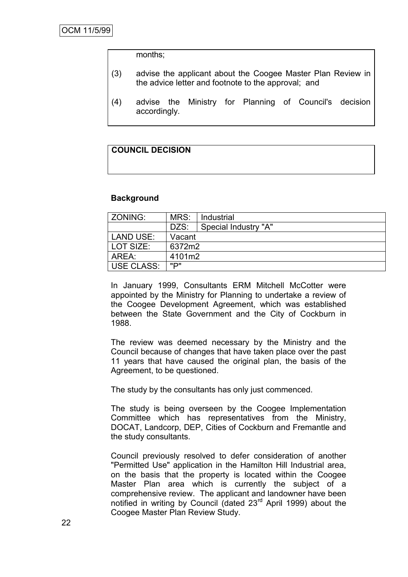months;

- (3) advise the applicant about the Coogee Master Plan Review in the advice letter and footnote to the approval; and
- (4) advise the Ministry for Planning of Council's decision accordingly.

## **COUNCIL DECISION**

#### **Background**

| l ZONING:        | MRS:   | Industrial           |
|------------------|--------|----------------------|
|                  | DZS:   | Special Industry "A" |
| <b>LAND USE:</b> | Vacant |                      |
| l LOT SIZE:      | 6372m2 |                      |
| AREA:            | 4101m2 |                      |
| USE CLASS:       | יים"   |                      |

In January 1999, Consultants ERM Mitchell McCotter were appointed by the Ministry for Planning to undertake a review of the Coogee Development Agreement, which was established between the State Government and the City of Cockburn in 1988.

The review was deemed necessary by the Ministry and the Council because of changes that have taken place over the past 11 years that have caused the original plan, the basis of the Agreement, to be questioned.

The study by the consultants has only just commenced.

The study is being overseen by the Coogee Implementation Committee which has representatives from the Ministry, DOCAT, Landcorp, DEP, Cities of Cockburn and Fremantle and the study consultants.

Council previously resolved to defer consideration of another "Permitted Use" application in the Hamilton Hill Industrial area, on the basis that the property is located within the Coogee Master Plan area which is currently the subject of a comprehensive review. The applicant and landowner have been notified in writing by Council (dated 23<sup>rd</sup> April 1999) about the Coogee Master Plan Review Study.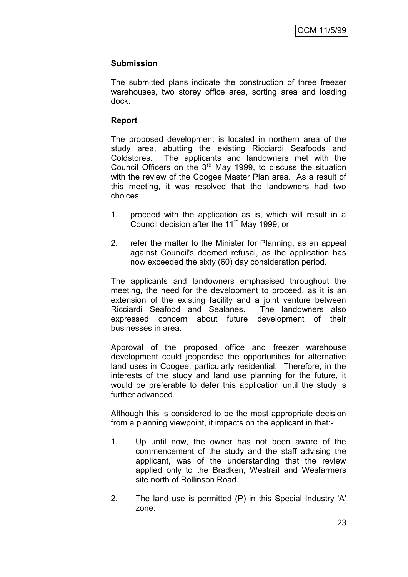#### **Submission**

The submitted plans indicate the construction of three freezer warehouses, two storey office area, sorting area and loading dock.

#### **Report**

The proposed development is located in northern area of the study area, abutting the existing Ricciardi Seafoods and Coldstores. The applicants and landowners met with the Council Officers on the  $3<sup>rd</sup>$  May 1999, to discuss the situation with the review of the Coogee Master Plan area. As a result of this meeting, it was resolved that the landowners had two choices:

- 1. proceed with the application as is, which will result in a Council decision after the  $11<sup>th</sup>$  May 1999; or
- 2. refer the matter to the Minister for Planning, as an appeal against Council's deemed refusal, as the application has now exceeded the sixty (60) day consideration period.

The applicants and landowners emphasised throughout the meeting, the need for the development to proceed, as it is an extension of the existing facility and a joint venture between Ricciardi Seafood and Sealanes. The landowners also expressed concern about future development of their businesses in area.

Approval of the proposed office and freezer warehouse development could jeopardise the opportunities for alternative land uses in Coogee, particularly residential. Therefore, in the interests of the study and land use planning for the future, it would be preferable to defer this application until the study is further advanced.

Although this is considered to be the most appropriate decision from a planning viewpoint, it impacts on the applicant in that:-

- 1. Up until now, the owner has not been aware of the commencement of the study and the staff advising the applicant, was of the understanding that the review applied only to the Bradken, Westrail and Wesfarmers site north of Rollinson Road.
- 2. The land use is permitted (P) in this Special Industry 'A' zone.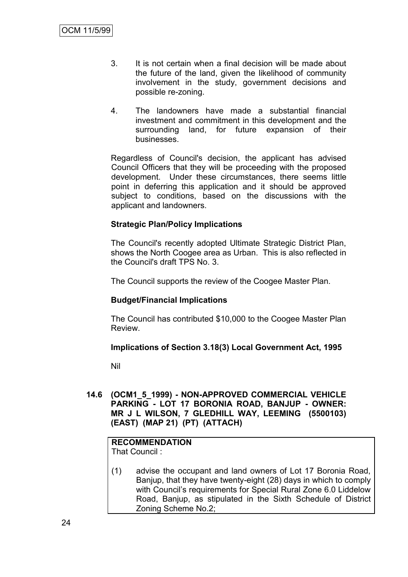- 3. It is not certain when a final decision will be made about the future of the land, given the likelihood of community involvement in the study, government decisions and possible re-zoning.
- 4. The landowners have made a substantial financial investment and commitment in this development and the surrounding land, for future expansion of their businesses.

Regardless of Council's decision, the applicant has advised Council Officers that they will be proceeding with the proposed development. Under these circumstances, there seems little point in deferring this application and it should be approved subject to conditions, based on the discussions with the applicant and landowners.

# **Strategic Plan/Policy Implications**

The Council's recently adopted Ultimate Strategic District Plan, shows the North Coogee area as Urban. This is also reflected in the Council's draft TPS No. 3.

The Council supports the review of the Coogee Master Plan.

#### **Budget/Financial Implications**

The Council has contributed \$10,000 to the Coogee Master Plan Review.

#### **Implications of Section 3.18(3) Local Government Act, 1995**

Nil

**14.6 (OCM1\_5\_1999) - NON-APPROVED COMMERCIAL VEHICLE PARKING - LOT 17 BORONIA ROAD, BANJUP - OWNER: MR J L WILSON, 7 GLEDHILL WAY, LEEMING (5500103) (EAST) (MAP 21) (PT) (ATTACH)**

# **RECOMMENDATION**

That Council :

(1) advise the occupant and land owners of Lot 17 Boronia Road, Banjup, that they have twenty-eight (28) days in which to comply with Council"s requirements for Special Rural Zone 6.0 Liddelow Road, Banjup, as stipulated in the Sixth Schedule of District Zoning Scheme No.2;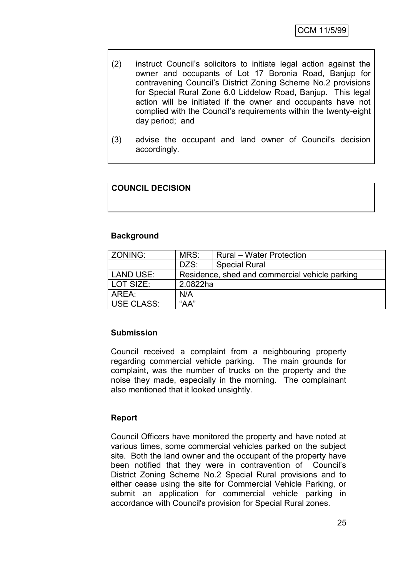- (2) instruct Council"s solicitors to initiate legal action against the owner and occupants of Lot 17 Boronia Road, Banjup for contravening Council"s District Zoning Scheme No.2 provisions for Special Rural Zone 6.0 Liddelow Road, Banjup. This legal action will be initiated if the owner and occupants have not complied with the Council"s requirements within the twenty-eight day period; and
- (3) advise the occupant and land owner of Council's decision accordingly.

# **COUNCIL DECISION**

#### **Background**

| ZONING:           | MRS:<br><b>Rural</b> – Water Protection |                                                |  |
|-------------------|-----------------------------------------|------------------------------------------------|--|
|                   | DZS:                                    | <b>Special Rural</b>                           |  |
| LAND USE:         |                                         | Residence, shed and commercial vehicle parking |  |
| LOT SIZE:         | 2.0822ha                                |                                                |  |
| AREA:             | N/A                                     |                                                |  |
| <b>USE CLASS:</b> | "AA"                                    |                                                |  |
|                   |                                         |                                                |  |

#### **Submission**

Council received a complaint from a neighbouring property regarding commercial vehicle parking. The main grounds for complaint, was the number of trucks on the property and the noise they made, especially in the morning. The complainant also mentioned that it looked unsightly.

#### **Report**

Council Officers have monitored the property and have noted at various times, some commercial vehicles parked on the subject site. Both the land owner and the occupant of the property have been notified that they were in contravention of Council's District Zoning Scheme No.2 Special Rural provisions and to either cease using the site for Commercial Vehicle Parking, or submit an application for commercial vehicle parking in accordance with Council's provision for Special Rural zones.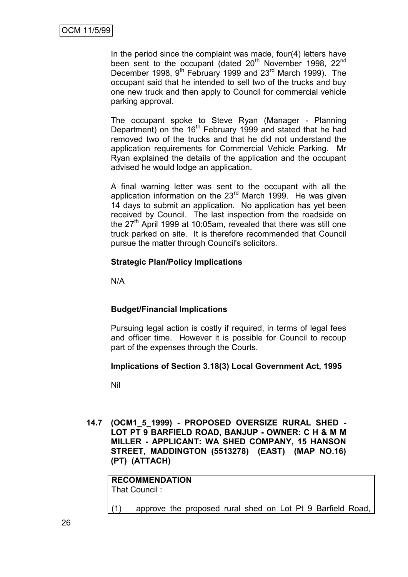In the period since the complaint was made, four(4) letters have been sent to the occupant (dated 20<sup>th</sup> November 1998, 22<sup>nd</sup> December 1998, 9<sup>th</sup> February 1999 and 23<sup>rd</sup> March 1999). The occupant said that he intended to sell two of the trucks and buy one new truck and then apply to Council for commercial vehicle parking approval.

The occupant spoke to Steve Ryan (Manager - Planning Department) on the 16<sup>th</sup> February 1999 and stated that he had removed two of the trucks and that he did not understand the application requirements for Commercial Vehicle Parking. Mr Ryan explained the details of the application and the occupant advised he would lodge an application.

A final warning letter was sent to the occupant with all the application information on the 23<sup>rd</sup> March 1999. He was given 14 days to submit an application. No application has yet been received by Council. The last inspection from the roadside on the  $27<sup>th</sup>$  April 1999 at 10:05am, revealed that there was still one truck parked on site. It is therefore recommended that Council pursue the matter through Council's solicitors.

## **Strategic Plan/Policy Implications**

N/A

# **Budget/Financial Implications**

Pursuing legal action is costly if required, in terms of legal fees and officer time. However it is possible for Council to recoup part of the expenses through the Courts.

#### **Implications of Section 3.18(3) Local Government Act, 1995**

Nil

**14.7 (OCM1\_5\_1999) - PROPOSED OVERSIZE RURAL SHED - LOT PT 9 BARFIELD ROAD, BANJUP - OWNER: C H & M M MILLER - APPLICANT: WA SHED COMPANY, 15 HANSON STREET, MADDINGTON (5513278) (EAST) (MAP NO.16) (PT) (ATTACH)**

**RECOMMENDATION** That Council :

(1) approve the proposed rural shed on Lot Pt 9 Barfield Road,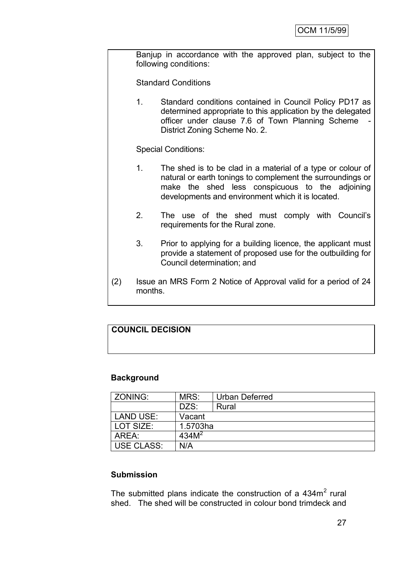Banjup in accordance with the approved plan, subject to the following conditions:

Standard Conditions

1. Standard conditions contained in Council Policy PD17 as determined appropriate to this application by the delegated officer under clause 7.6 of Town Planning Scheme District Zoning Scheme No. 2.

Special Conditions:

- 1. The shed is to be clad in a material of a type or colour of natural or earth tonings to complement the surroundings or make the shed less conspicuous to the adjoining developments and environment which it is located.
- 2. The use of the shed must comply with Council"s requirements for the Rural zone.
- 3. Prior to applying for a building licence, the applicant must provide a statement of proposed use for the outbuilding for Council determination; and
- (2) Issue an MRS Form 2 Notice of Approval valid for a period of 24 months.

# **COUNCIL DECISION**

#### **Background**

| <b>ZONING:</b>    | MRS:              | Urban Deferred |
|-------------------|-------------------|----------------|
|                   | DZS:              | Rural          |
| <b>LAND USE:</b>  | Vacant            |                |
| LOT SIZE:         | 1.5703ha          |                |
| AREA:             | 434M <sup>2</sup> |                |
| <b>USE CLASS:</b> | N/A               |                |

#### **Submission**

The submitted plans indicate the construction of a  $434m<sup>2</sup>$  rural shed. The shed will be constructed in colour bond trimdeck and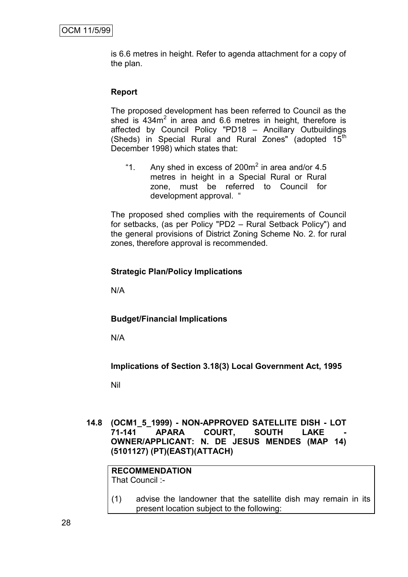is 6.6 metres in height. Refer to agenda attachment for a copy of the plan.

#### **Report**

The proposed development has been referred to Council as the shed is  $434m^2$  in area and 6.6 metres in height, therefore is affected by Council Policy "PD18 – Ancillary Outbuildings (Sheds) in Special Rural and Rural Zones" (adopted  $15<sup>th</sup>$ December 1998) which states that:

"1. Any shed in excess of 200 $m<sup>2</sup>$  in area and/or 4.5 metres in height in a Special Rural or Rural zone, must be referred to Council for development approval. "

The proposed shed complies with the requirements of Council for setbacks, (as per Policy "PD2 – Rural Setback Policy") and the general provisions of District Zoning Scheme No. 2. for rural zones, therefore approval is recommended.

#### **Strategic Plan/Policy Implications**

N/A

#### **Budget/Financial Implications**

N/A

**Implications of Section 3.18(3) Local Government Act, 1995**

Nil

**14.8 (OCM1\_5\_1999) - NON-APPROVED SATELLITE DISH - LOT 71-141 APARA COURT, SOUTH LAKE - OWNER/APPLICANT: N. DE JESUS MENDES (MAP 14) (5101127) (PT)(EAST)(ATTACH)**

**RECOMMENDATION** That Council :-

(1) advise the landowner that the satellite dish may remain in its present location subject to the following: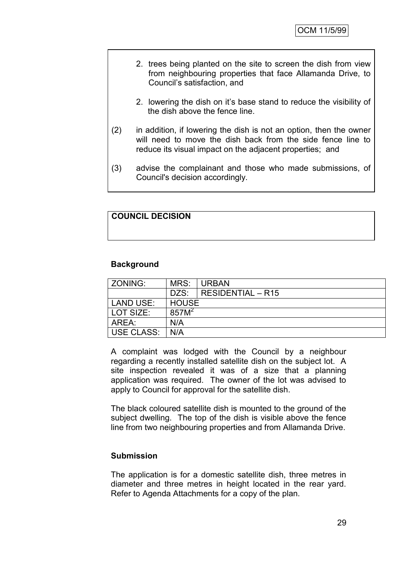- 2. trees being planted on the site to screen the dish from view from neighbouring properties that face Allamanda Drive, to Council"s satisfaction, and
- 2. lowering the dish on it"s base stand to reduce the visibility of the dish above the fence line.
- (2) in addition, if lowering the dish is not an option, then the owner will need to move the dish back from the side fence line to reduce its visual impact on the adjacent properties; and
- (3) advise the complainant and those who made submissions, of Council's decision accordingly.

## **COUNCIL DECISION**

#### **Background**

| MRS:              | URBAN                    |
|-------------------|--------------------------|
| DZS:              | <b>RESIDENTIAL - R15</b> |
| HOUSE             |                          |
| 857M <sup>2</sup> |                          |
| N/A               |                          |
| N/A               |                          |
|                   |                          |

A complaint was lodged with the Council by a neighbour regarding a recently installed satellite dish on the subject lot. A site inspection revealed it was of a size that a planning application was required. The owner of the lot was advised to apply to Council for approval for the satellite dish.

The black coloured satellite dish is mounted to the ground of the subject dwelling. The top of the dish is visible above the fence line from two neighbouring properties and from Allamanda Drive.

#### **Submission**

The application is for a domestic satellite dish, three metres in diameter and three metres in height located in the rear yard. Refer to Agenda Attachments for a copy of the plan.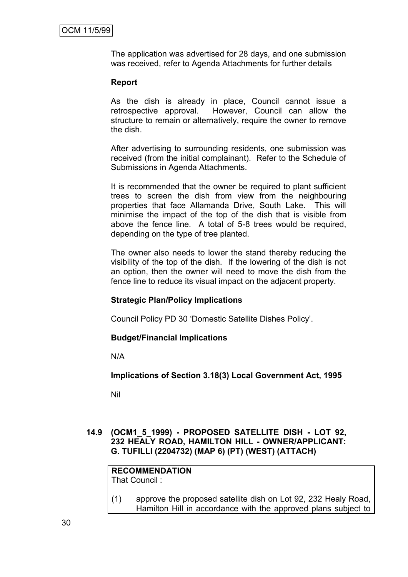The application was advertised for 28 days, and one submission was received, refer to Agenda Attachments for further details

#### **Report**

As the dish is already in place, Council cannot issue a retrospective approval. However, Council can allow the structure to remain or alternatively, require the owner to remove the dish.

After advertising to surrounding residents, one submission was received (from the initial complainant). Refer to the Schedule of Submissions in Agenda Attachments.

It is recommended that the owner be required to plant sufficient trees to screen the dish from view from the neighbouring properties that face Allamanda Drive, South Lake. This will minimise the impact of the top of the dish that is visible from above the fence line. A total of 5-8 trees would be required, depending on the type of tree planted.

The owner also needs to lower the stand thereby reducing the visibility of the top of the dish. If the lowering of the dish is not an option, then the owner will need to move the dish from the fence line to reduce its visual impact on the adjacent property.

#### **Strategic Plan/Policy Implications**

Council Policy PD 30 "Domestic Satellite Dishes Policy".

#### **Budget/Financial Implications**

N/A

**Implications of Section 3.18(3) Local Government Act, 1995**

Nil

#### **14.9 (OCM1\_5\_1999) - PROPOSED SATELLITE DISH - LOT 92, 232 HEALY ROAD, HAMILTON HILL - OWNER/APPLICANT: G. TUFILLI (2204732) (MAP 6) (PT) (WEST) (ATTACH)**

#### **RECOMMENDATION** That Council :

(1) approve the proposed satellite dish on Lot 92, 232 Healy Road, Hamilton Hill in accordance with the approved plans subject to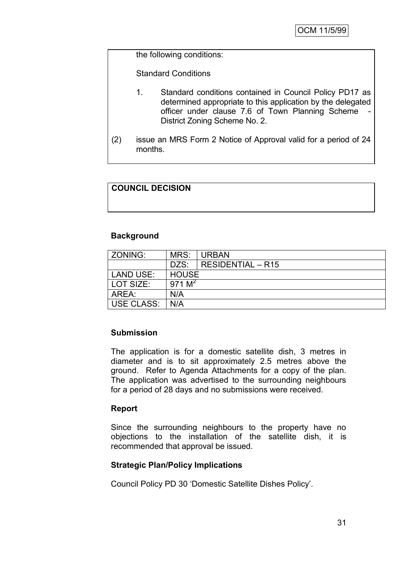the following conditions:

Standard Conditions

- 1. Standard conditions contained in Council Policy PD17 as determined appropriate to this application by the delegated officer under clause 7.6 of Town Planning Scheme District Zoning Scheme No. 2.
- (2) issue an MRS Form 2 Notice of Approval valid for a period of 24 months.

# **COUNCIL DECISION**

#### **Background**

| ZONING:           | MRS:         | <b>URBAN</b>      |
|-------------------|--------------|-------------------|
|                   | DZS:         | RESIDENTIAL - R15 |
| LAND USE:         | <b>HOUSE</b> |                   |
| LOT SIZE:         | 971 $M^2$    |                   |
| AREA:             | N/A          |                   |
| <b>USE CLASS:</b> | N/A          |                   |

#### **Submission**

The application is for a domestic satellite dish, 3 metres in diameter and is to sit approximately 2.5 metres above the ground. Refer to Agenda Attachments for a copy of the plan. The application was advertised to the surrounding neighbours for a period of 28 days and no submissions were received.

#### **Report**

Since the surrounding neighbours to the property have no objections to the installation of the satellite dish, it is recommended that approval be issued.

#### **Strategic Plan/Policy Implications**

Council Policy PD 30 "Domestic Satellite Dishes Policy".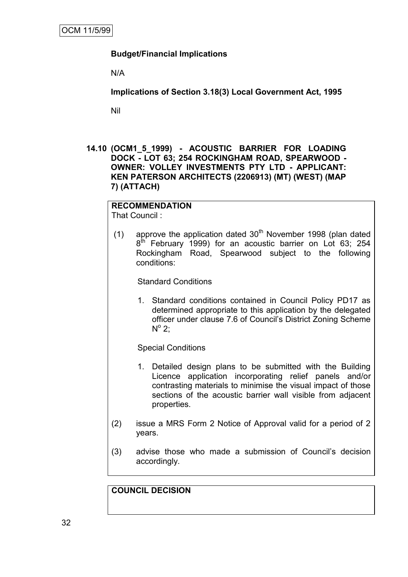# **Budget/Financial Implications**

N/A

**Implications of Section 3.18(3) Local Government Act, 1995**

Nil

**14.10 (OCM1\_5\_1999) - ACOUSTIC BARRIER FOR LOADING DOCK - LOT 63; 254 ROCKINGHAM ROAD, SPEARWOOD - OWNER: VOLLEY INVESTMENTS PTY LTD - APPLICANT: KEN PATERSON ARCHITECTS (2206913) (MT) (WEST) (MAP 7) (ATTACH)**

## **RECOMMENDATION**

That Council :

(1) approve the application dated  $30<sup>th</sup>$  November 1998 (plan dated 8<sup>th</sup> February 1999) for an acoustic barrier on Lot 63; 254 Rockingham Road, Spearwood subject to the following conditions:

Standard Conditions

1. Standard conditions contained in Council Policy PD17 as determined appropriate to this application by the delegated officer under clause 7.6 of Council"s District Zoning Scheme  $N^{\circ}$  2;

Special Conditions

- 1. Detailed design plans to be submitted with the Building Licence application incorporating relief panels and/or contrasting materials to minimise the visual impact of those sections of the acoustic barrier wall visible from adjacent properties.
- (2) issue a MRS Form 2 Notice of Approval valid for a period of 2 years.
- (3) advise those who made a submission of Council"s decision accordingly.

# **COUNCIL DECISION**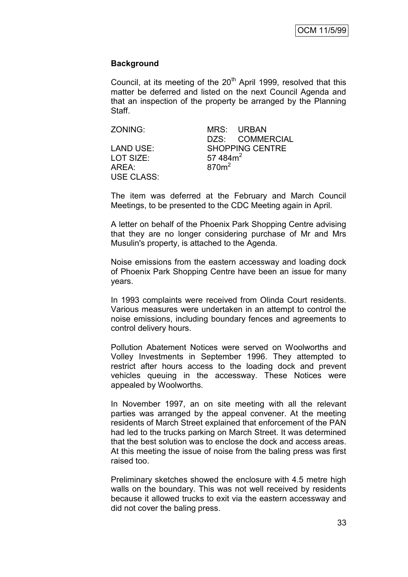#### **Background**

Council, at its meeting of the 20<sup>th</sup> April 1999, resolved that this matter be deferred and listed on the next Council Agenda and that an inspection of the property be arranged by the Planning Staff.

| ZONING:           |                   | MRS URBAN              |
|-------------------|-------------------|------------------------|
|                   |                   | DZS: COMMERCIAL        |
| LAND USE:         |                   | <b>SHOPPING CENTRE</b> |
| LOT SIZE:         | 57 484 $m2$       |                        |
| AREA:             | 870 <sup>m²</sup> |                        |
| <b>USE CLASS:</b> |                   |                        |

The item was deferred at the February and March Council Meetings, to be presented to the CDC Meeting again in April.

A letter on behalf of the Phoenix Park Shopping Centre advising that they are no longer considering purchase of Mr and Mrs Musulin's property, is attached to the Agenda.

Noise emissions from the eastern accessway and loading dock of Phoenix Park Shopping Centre have been an issue for many years.

In 1993 complaints were received from Olinda Court residents. Various measures were undertaken in an attempt to control the noise emissions, including boundary fences and agreements to control delivery hours.

Pollution Abatement Notices were served on Woolworths and Volley Investments in September 1996. They attempted to restrict after hours access to the loading dock and prevent vehicles queuing in the accessway. These Notices were appealed by Woolworths.

In November 1997, an on site meeting with all the relevant parties was arranged by the appeal convener. At the meeting residents of March Street explained that enforcement of the PAN had led to the trucks parking on March Street. It was determined that the best solution was to enclose the dock and access areas. At this meeting the issue of noise from the baling press was first raised too.

Preliminary sketches showed the enclosure with 4.5 metre high walls on the boundary. This was not well received by residents because it allowed trucks to exit via the eastern accessway and did not cover the baling press.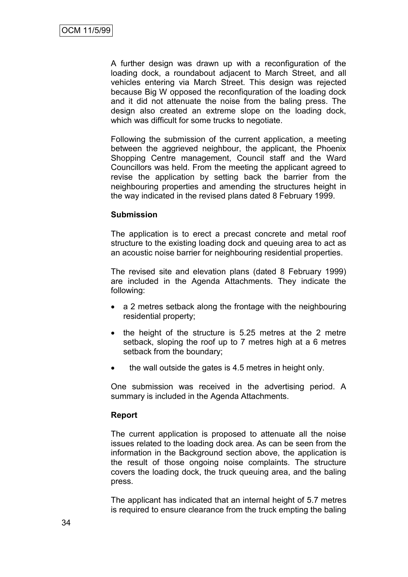A further design was drawn up with a reconfiguration of the loading dock, a roundabout adjacent to March Street, and all vehicles entering via March Street. This design was rejected because Big W opposed the reconfiquration of the loading dock and it did not attenuate the noise from the baling press. The design also created an extreme slope on the loading dock, which was difficult for some trucks to negotiate.

Following the submission of the current application, a meeting between the aggrieved neighbour, the applicant, the Phoenix Shopping Centre management, Council staff and the Ward Councillors was held. From the meeting the applicant agreed to revise the application by setting back the barrier from the neighbouring properties and amending the structures height in the way indicated in the revised plans dated 8 February 1999.

#### **Submission**

The application is to erect a precast concrete and metal roof structure to the existing loading dock and queuing area to act as an acoustic noise barrier for neighbouring residential properties.

The revised site and elevation plans (dated 8 February 1999) are included in the Agenda Attachments. They indicate the following:

- a 2 metres setback along the frontage with the neighbouring residential property;
- the height of the structure is 5.25 metres at the 2 metre setback, sloping the roof up to 7 metres high at a 6 metres setback from the boundary;
- the wall outside the gates is 4.5 metres in height only.

One submission was received in the advertising period. A summary is included in the Agenda Attachments.

#### **Report**

The current application is proposed to attenuate all the noise issues related to the loading dock area. As can be seen from the information in the Background section above, the application is the result of those ongoing noise complaints. The structure covers the loading dock, the truck queuing area, and the baling press.

The applicant has indicated that an internal height of 5.7 metres is required to ensure clearance from the truck empting the baling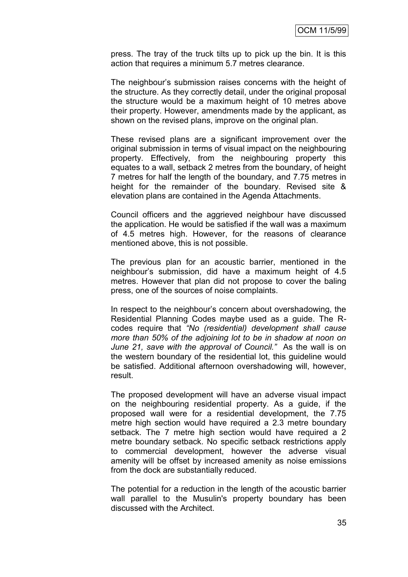press. The tray of the truck tilts up to pick up the bin. It is this action that requires a minimum 5.7 metres clearance.

The neighbour"s submission raises concerns with the height of the structure. As they correctly detail, under the original proposal the structure would be a maximum height of 10 metres above their property. However, amendments made by the applicant, as shown on the revised plans, improve on the original plan.

These revised plans are a significant improvement over the original submission in terms of visual impact on the neighbouring property. Effectively, from the neighbouring property this equates to a wall, setback 2 metres from the boundary, of height 7 metres for half the length of the boundary, and 7.75 metres in height for the remainder of the boundary. Revised site & elevation plans are contained in the Agenda Attachments.

Council officers and the aggrieved neighbour have discussed the application. He would be satisfied if the wall was a maximum of 4.5 metres high. However, for the reasons of clearance mentioned above, this is not possible.

The previous plan for an acoustic barrier, mentioned in the neighbour"s submission, did have a maximum height of 4.5 metres. However that plan did not propose to cover the baling press, one of the sources of noise complaints.

In respect to the neighbour's concern about overshadowing, the Residential Planning Codes maybe used as a guide. The Rcodes require that *"No (residential) development shall cause more than 50% of the adjoining lot to be in shadow at noon on June 21, save with the approval of Council."* As the wall is on the western boundary of the residential lot, this guideline would be satisfied. Additional afternoon overshadowing will, however, result.

The proposed development will have an adverse visual impact on the neighbouring residential property. As a guide, if the proposed wall were for a residential development, the 7.75 metre high section would have required a 2.3 metre boundary setback. The 7 metre high section would have required a 2 metre boundary setback. No specific setback restrictions apply to commercial development, however the adverse visual amenity will be offset by increased amenity as noise emissions from the dock are substantially reduced.

The potential for a reduction in the length of the acoustic barrier wall parallel to the Musulin's property boundary has been discussed with the Architect.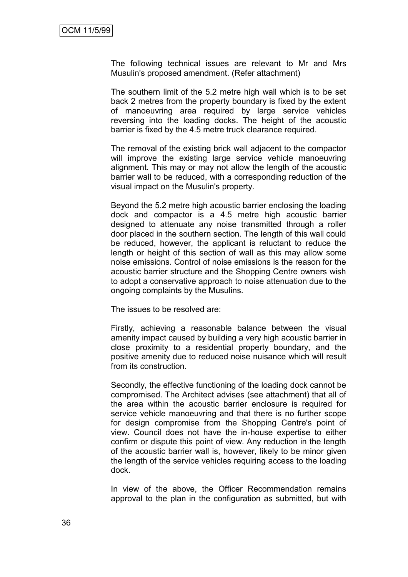The following technical issues are relevant to Mr and Mrs Musulin's proposed amendment. (Refer attachment)

The southern limit of the 5.2 metre high wall which is to be set back 2 metres from the property boundary is fixed by the extent of manoeuvring area required by large service vehicles reversing into the loading docks. The height of the acoustic barrier is fixed by the 4.5 metre truck clearance required.

The removal of the existing brick wall adjacent to the compactor will improve the existing large service vehicle manoeuvring alignment. This may or may not allow the length of the acoustic barrier wall to be reduced, with a corresponding reduction of the visual impact on the Musulin's property.

Beyond the 5.2 metre high acoustic barrier enclosing the loading dock and compactor is a 4.5 metre high acoustic barrier designed to attenuate any noise transmitted through a roller door placed in the southern section. The length of this wall could be reduced, however, the applicant is reluctant to reduce the length or height of this section of wall as this may allow some noise emissions. Control of noise emissions is the reason for the acoustic barrier structure and the Shopping Centre owners wish to adopt a conservative approach to noise attenuation due to the ongoing complaints by the Musulins.

The issues to be resolved are:

Firstly, achieving a reasonable balance between the visual amenity impact caused by building a very high acoustic barrier in close proximity to a residential property boundary, and the positive amenity due to reduced noise nuisance which will result from its construction.

Secondly, the effective functioning of the loading dock cannot be compromised. The Architect advises (see attachment) that all of the area within the acoustic barrier enclosure is required for service vehicle manoeuvring and that there is no further scope for design compromise from the Shopping Centre's point of view. Council does not have the in-house expertise to either confirm or dispute this point of view. Any reduction in the length of the acoustic barrier wall is, however, likely to be minor given the length of the service vehicles requiring access to the loading dock.

In view of the above, the Officer Recommendation remains approval to the plan in the configuration as submitted, but with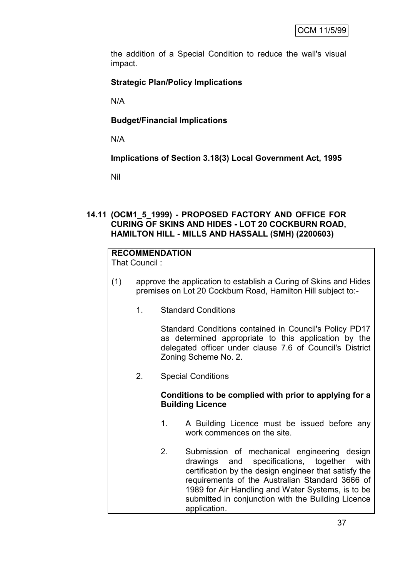the addition of a Special Condition to reduce the wall's visual impact.

# **Strategic Plan/Policy Implications**

N/A

# **Budget/Financial Implications**

N/A

**Implications of Section 3.18(3) Local Government Act, 1995**

Nil

#### **14.11 (OCM1\_5\_1999) - PROPOSED FACTORY AND OFFICE FOR CURING OF SKINS AND HIDES - LOT 20 COCKBURN ROAD, HAMILTON HILL - MILLS AND HASSALL (SMH) (2200603)**

# **RECOMMENDATION**

That Council :

- (1) approve the application to establish a Curing of Skins and Hides premises on Lot 20 Cockburn Road, Hamilton Hill subject to:-
	- 1. Standard Conditions

Standard Conditions contained in Council's Policy PD17 as determined appropriate to this application by the delegated officer under clause 7.6 of Council's District Zoning Scheme No. 2.

2. Special Conditions

## **Conditions to be complied with prior to applying for a Building Licence**

- 1. A Building Licence must be issued before any work commences on the site.
- 2. Submission of mechanical engineering design drawings and specifications, together with certification by the design engineer that satisfy the requirements of the Australian Standard 3666 of 1989 for Air Handling and Water Systems, is to be submitted in conjunction with the Building Licence application.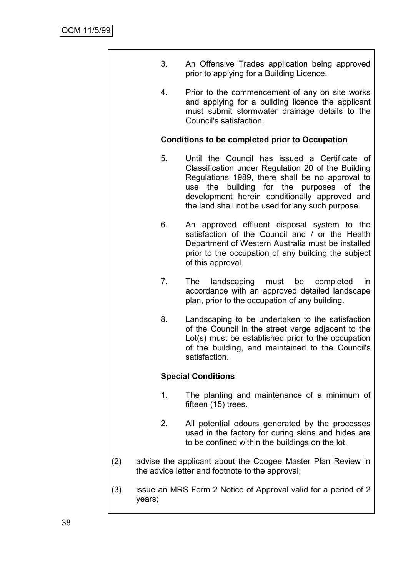|     | 3.                                                    | An Offensive Trades application being approved<br>prior to applying for a Building Licence.                                                                                                                                                                                                                   |  |  |  |
|-----|-------------------------------------------------------|---------------------------------------------------------------------------------------------------------------------------------------------------------------------------------------------------------------------------------------------------------------------------------------------------------------|--|--|--|
|     | 4.                                                    | Prior to the commencement of any on site works<br>and applying for a building licence the applicant<br>must submit stormwater drainage details to the<br>Council's satisfaction.                                                                                                                              |  |  |  |
|     | <b>Conditions to be completed prior to Occupation</b> |                                                                                                                                                                                                                                                                                                               |  |  |  |
|     | 5.                                                    | Until the Council has issued a Certificate of<br>Classification under Regulation 20 of the Building<br>Regulations 1989, there shall be no approval to<br>building for the purposes of the<br>the<br>use<br>development herein conditionally approved and<br>the land shall not be used for any such purpose. |  |  |  |
|     | 6.                                                    | An approved effluent disposal system to the<br>satisfaction of the Council and / or the Health<br>Department of Western Australia must be installed<br>prior to the occupation of any building the subject<br>of this approval.                                                                               |  |  |  |
|     | 7.                                                    | The<br>landscaping must be completed<br>in<br>accordance with an approved detailed landscape<br>plan, prior to the occupation of any building.                                                                                                                                                                |  |  |  |
|     | 8.                                                    | Landscaping to be undertaken to the satisfaction<br>of the Council in the street verge adjacent to the<br>Lot(s) must be established prior to the occupation<br>of the building, and maintained to the Council's<br>satisfaction.                                                                             |  |  |  |
|     |                                                       | <b>Special Conditions</b>                                                                                                                                                                                                                                                                                     |  |  |  |
|     | 1.                                                    | The planting and maintenance of a minimum of<br>fifteen (15) trees.                                                                                                                                                                                                                                           |  |  |  |
|     | 2.                                                    | All potential odours generated by the processes<br>used in the factory for curing skins and hides are<br>to be confined within the buildings on the lot.                                                                                                                                                      |  |  |  |
| (2) |                                                       | advise the applicant about the Coogee Master Plan Review in<br>the advice letter and footnote to the approval;                                                                                                                                                                                                |  |  |  |
| (3) | years;                                                | issue an MRS Form 2 Notice of Approval valid for a period of 2                                                                                                                                                                                                                                                |  |  |  |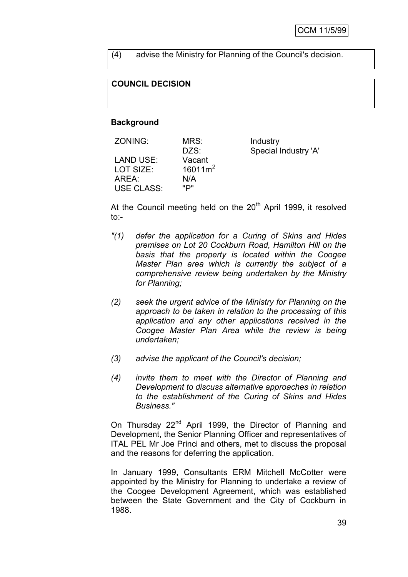(4) advise the Ministry for Planning of the Council's decision.

#### **COUNCIL DECISION**

#### **Background**

| ZONING:           | MRS:       | Industry             |
|-------------------|------------|----------------------|
|                   | DZS:       | Special Industry 'A' |
| LAND USE:         | Vacant     |                      |
| LOT SIZE:         | $16011m^2$ |                      |
| AREA:             | N/A        |                      |
| <b>USE CLASS:</b> | "פי        |                      |
|                   |            |                      |

At the Council meeting held on the  $20<sup>th</sup>$  April 1999, it resolved to:-

- *"(1) defer the application for a Curing of Skins and Hides premises on Lot 20 Cockburn Road, Hamilton Hill on the basis that the property is located within the Coogee Master Plan area which is currently the subject of a comprehensive review being undertaken by the Ministry for Planning;*
- *(2) seek the urgent advice of the Ministry for Planning on the approach to be taken in relation to the processing of this application and any other applications received in the Coogee Master Plan Area while the review is being undertaken;*
- *(3) advise the applicant of the Council's decision;*
- *(4) invite them to meet with the Director of Planning and Development to discuss alternative approaches in relation to the establishment of the Curing of Skins and Hides Business."*

On Thursday 22<sup>nd</sup> April 1999, the Director of Planning and Development, the Senior Planning Officer and representatives of ITAL PEL Mr Joe Princi and others, met to discuss the proposal and the reasons for deferring the application.

In January 1999, Consultants ERM Mitchell McCotter were appointed by the Ministry for Planning to undertake a review of the Coogee Development Agreement, which was established between the State Government and the City of Cockburn in 1988.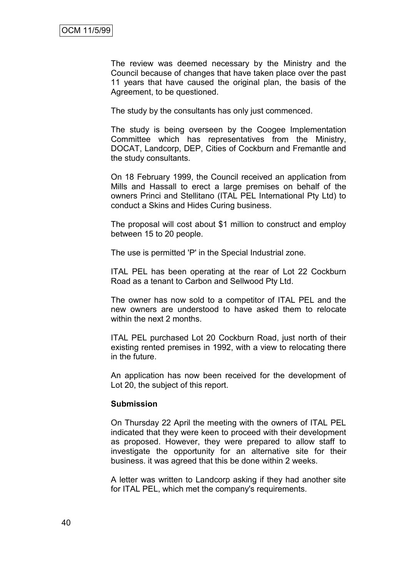The review was deemed necessary by the Ministry and the Council because of changes that have taken place over the past 11 years that have caused the original plan, the basis of the Agreement, to be questioned.

The study by the consultants has only just commenced.

The study is being overseen by the Coogee Implementation Committee which has representatives from the Ministry, DOCAT, Landcorp, DEP, Cities of Cockburn and Fremantle and the study consultants.

On 18 February 1999, the Council received an application from Mills and Hassall to erect a large premises on behalf of the owners Princi and Stellitano (ITAL PEL International Pty Ltd) to conduct a Skins and Hides Curing business.

The proposal will cost about \$1 million to construct and employ between 15 to 20 people.

The use is permitted 'P' in the Special Industrial zone.

ITAL PEL has been operating at the rear of Lot 22 Cockburn Road as a tenant to Carbon and Sellwood Pty Ltd.

The owner has now sold to a competitor of ITAL PEL and the new owners are understood to have asked them to relocate within the next 2 months.

ITAL PEL purchased Lot 20 Cockburn Road, just north of their existing rented premises in 1992, with a view to relocating there in the future.

An application has now been received for the development of Lot 20, the subject of this report.

#### **Submission**

On Thursday 22 April the meeting with the owners of ITAL PEL indicated that they were keen to proceed with their development as proposed. However, they were prepared to allow staff to investigate the opportunity for an alternative site for their business. it was agreed that this be done within 2 weeks.

A letter was written to Landcorp asking if they had another site for ITAL PEL, which met the company's requirements.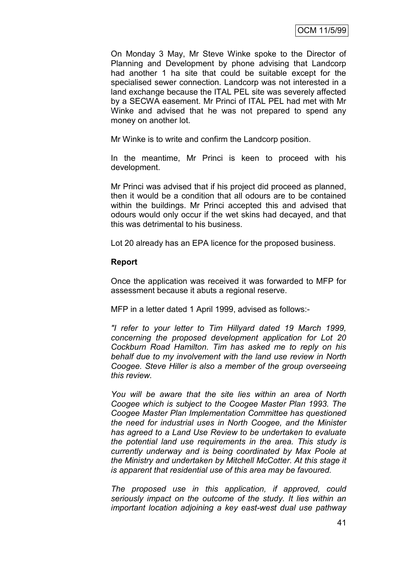On Monday 3 May, Mr Steve Winke spoke to the Director of Planning and Development by phone advising that Landcorp had another 1 ha site that could be suitable except for the specialised sewer connection. Landcorp was not interested in a land exchange because the ITAL PEL site was severely affected by a SECWA easement. Mr Princi of ITAL PEL had met with Mr Winke and advised that he was not prepared to spend any money on another lot.

Mr Winke is to write and confirm the Landcorp position.

In the meantime, Mr Princi is keen to proceed with his development.

Mr Princi was advised that if his project did proceed as planned, then it would be a condition that all odours are to be contained within the buildings. Mr Princi accepted this and advised that odours would only occur if the wet skins had decayed, and that this was detrimental to his business.

Lot 20 already has an EPA licence for the proposed business.

#### **Report**

Once the application was received it was forwarded to MFP for assessment because it abuts a regional reserve.

MFP in a letter dated 1 April 1999, advised as follows:-

*"I refer to your letter to Tim Hillyard dated 19 March 1999, concerning the proposed development application for Lot 20 Cockburn Road Hamilton. Tim has asked me to reply on his behalf due to my involvement with the land use review in North Coogee. Steve Hiller is also a member of the group overseeing this review.*

*You will be aware that the site lies within an area of North Coogee which is subject to the Coogee Master Plan 1993. The Coogee Master Plan Implementation Committee has questioned the need for industrial uses in North Coogee, and the Minister has agreed to a Land Use Review to be undertaken to evaluate the potential land use requirements in the area. This study is currently underway and is being coordinated by Max Poole at the Ministry and undertaken by Mitchell McCotter. At this stage it is apparent that residential use of this area may be favoured.*

*The proposed use in this application, if approved, could seriously impact on the outcome of the study. It lies within an important location adjoining a key east-west dual use pathway*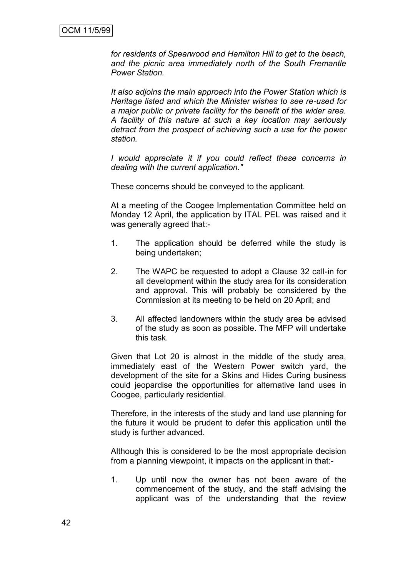*for residents of Spearwood and Hamilton Hill to get to the beach, and the picnic area immediately north of the South Fremantle Power Station.*

*It also adjoins the main approach into the Power Station which is Heritage listed and which the Minister wishes to see re-used for a major public or private facility for the benefit of the wider area. A facility of this nature at such a key location may seriously detract from the prospect of achieving such a use for the power station.*

*I would appreciate it if you could reflect these concerns in dealing with the current application."*

These concerns should be conveyed to the applicant.

At a meeting of the Coogee Implementation Committee held on Monday 12 April, the application by ITAL PEL was raised and it was generally agreed that:-

- 1. The application should be deferred while the study is being undertaken;
- 2. The WAPC be requested to adopt a Clause 32 call-in for all development within the study area for its consideration and approval. This will probably be considered by the Commission at its meeting to be held on 20 April; and
- 3. All affected landowners within the study area be advised of the study as soon as possible. The MFP will undertake this task.

Given that Lot 20 is almost in the middle of the study area, immediately east of the Western Power switch yard, the development of the site for a Skins and Hides Curing business could jeopardise the opportunities for alternative land uses in Coogee, particularly residential.

Therefore, in the interests of the study and land use planning for the future it would be prudent to defer this application until the study is further advanced.

Although this is considered to be the most appropriate decision from a planning viewpoint, it impacts on the applicant in that:-

1. Up until now the owner has not been aware of the commencement of the study, and the staff advising the applicant was of the understanding that the review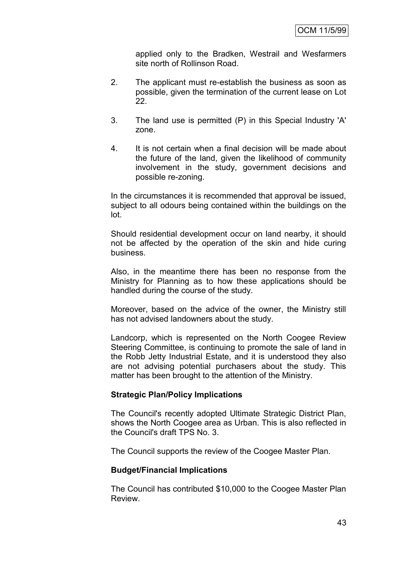applied only to the Bradken, Westrail and Wesfarmers site north of Rollinson Road.

- 2. The applicant must re-establish the business as soon as possible, given the termination of the current lease on Lot 22.
- 3. The land use is permitted (P) in this Special Industry 'A' zone.
- 4. It is not certain when a final decision will be made about the future of the land, given the likelihood of community involvement in the study, government decisions and possible re-zoning.

In the circumstances it is recommended that approval be issued, subject to all odours being contained within the buildings on the lot.

Should residential development occur on land nearby, it should not be affected by the operation of the skin and hide curing business.

Also, in the meantime there has been no response from the Ministry for Planning as to how these applications should be handled during the course of the study.

Moreover, based on the advice of the owner, the Ministry still has not advised landowners about the study.

Landcorp, which is represented on the North Coogee Review Steering Committee, is continuing to promote the sale of land in the Robb Jetty Industrial Estate, and it is understood they also are not advising potential purchasers about the study. This matter has been brought to the attention of the Ministry.

#### **Strategic Plan/Policy Implications**

The Council's recently adopted Ultimate Strategic District Plan, shows the North Coogee area as Urban. This is also reflected in the Council's draft TPS No. 3.

The Council supports the review of the Coogee Master Plan.

#### **Budget/Financial Implications**

The Council has contributed \$10,000 to the Coogee Master Plan Review.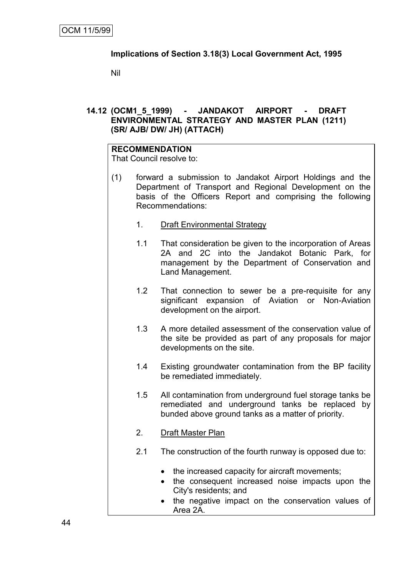# **Implications of Section 3.18(3) Local Government Act, 1995**

Nil

# **14.12 (OCM1\_5\_1999) - JANDAKOT AIRPORT - DRAFT ENVIRONMENTAL STRATEGY AND MASTER PLAN (1211) (SR/ AJB/ DW/ JH) (ATTACH)**

#### **RECOMMENDATION**

That Council resolve to:

- (1) forward a submission to Jandakot Airport Holdings and the Department of Transport and Regional Development on the basis of the Officers Report and comprising the following Recommendations:
	- 1. Draft Environmental Strategy
	- 1.1 That consideration be given to the incorporation of Areas 2A and 2C into the Jandakot Botanic Park, for management by the Department of Conservation and Land Management.
	- 1.2 That connection to sewer be a pre-requisite for any significant expansion of Aviation or Non-Aviation development on the airport.
	- 1.3 A more detailed assessment of the conservation value of the site be provided as part of any proposals for major developments on the site.
	- 1.4 Existing groundwater contamination from the BP facility be remediated immediately.
	- 1.5 All contamination from underground fuel storage tanks be remediated and underground tanks be replaced by bunded above ground tanks as a matter of priority.
	- 2. Draft Master Plan
	- 2.1 The construction of the fourth runway is opposed due to:
		- the increased capacity for aircraft movements;
		- the consequent increased noise impacts upon the City's residents; and
		- the negative impact on the conservation values of Area 2A.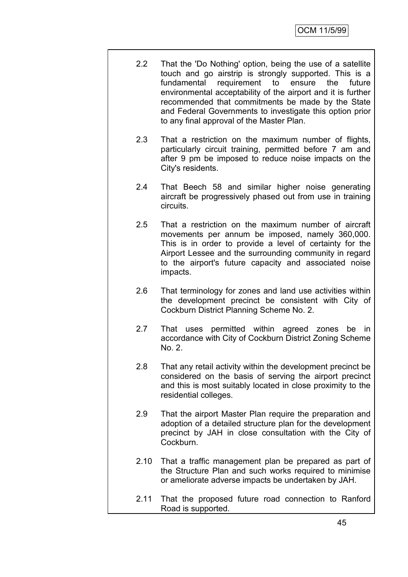- 2.2 That the 'Do Nothing' option, being the use of a satellite touch and go airstrip is strongly supported. This is a fundamental requirement to ensure the future environmental acceptability of the airport and it is further recommended that commitments be made by the State and Federal Governments to investigate this option prior to any final approval of the Master Plan.
- 2.3 That a restriction on the maximum number of flights, particularly circuit training, permitted before 7 am and after 9 pm be imposed to reduce noise impacts on the City's residents.
- 2.4 That Beech 58 and similar higher noise generating aircraft be progressively phased out from use in training circuits.
- 2.5 That a restriction on the maximum number of aircraft movements per annum be imposed, namely 360,000. This is in order to provide a level of certainty for the Airport Lessee and the surrounding community in regard to the airport's future capacity and associated noise impacts.
- 2.6 That terminology for zones and land use activities within the development precinct be consistent with City of Cockburn District Planning Scheme No. 2.
- 2.7 That uses permitted within agreed zones be in accordance with City of Cockburn District Zoning Scheme No. 2.
- 2.8 That any retail activity within the development precinct be considered on the basis of serving the airport precinct and this is most suitably located in close proximity to the residential colleges.
- 2.9 That the airport Master Plan require the preparation and adoption of a detailed structure plan for the development precinct by JAH in close consultation with the City of Cockburn.
- 2.10 That a traffic management plan be prepared as part of the Structure Plan and such works required to minimise or ameliorate adverse impacts be undertaken by JAH.
- 2.11 That the proposed future road connection to Ranford Road is supported.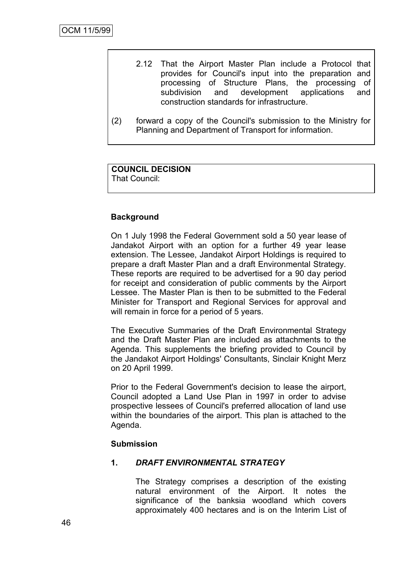- 2.12 That the Airport Master Plan include a Protocol that provides for Council's input into the preparation and processing of Structure Plans, the processing of subdivision and development applications and construction standards for infrastructure.
- (2) forward a copy of the Council's submission to the Ministry for Planning and Department of Transport for information.

#### **COUNCIL DECISION** That Council:

# **Background**

On 1 July 1998 the Federal Government sold a 50 year lease of Jandakot Airport with an option for a further 49 year lease extension. The Lessee, Jandakot Airport Holdings is required to prepare a draft Master Plan and a draft Environmental Strategy. These reports are required to be advertised for a 90 day period for receipt and consideration of public comments by the Airport Lessee. The Master Plan is then to be submitted to the Federal Minister for Transport and Regional Services for approval and will remain in force for a period of 5 years.

The Executive Summaries of the Draft Environmental Strategy and the Draft Master Plan are included as attachments to the Agenda. This supplements the briefing provided to Council by the Jandakot Airport Holdings' Consultants, Sinclair Knight Merz on 20 April 1999.

Prior to the Federal Government's decision to lease the airport, Council adopted a Land Use Plan in 1997 in order to advise prospective lessees of Council's preferred allocation of land use within the boundaries of the airport. This plan is attached to the Agenda.

#### **Submission**

#### **1.** *DRAFT ENVIRONMENTAL STRATEGY*

The Strategy comprises a description of the existing natural environment of the Airport. It notes the significance of the banksia woodland which covers approximately 400 hectares and is on the Interim List of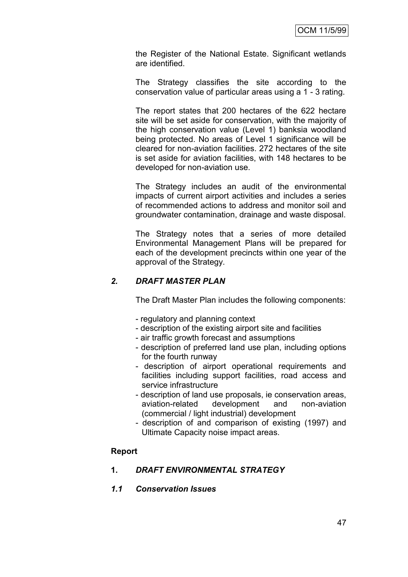the Register of the National Estate. Significant wetlands are identified.

The Strategy classifies the site according to the conservation value of particular areas using a 1 - 3 rating.

The report states that 200 hectares of the 622 hectare site will be set aside for conservation, with the majority of the high conservation value (Level 1) banksia woodland being protected. No areas of Level 1 significance will be cleared for non-aviation facilities. 272 hectares of the site is set aside for aviation facilities, with 148 hectares to be developed for non-aviation use.

The Strategy includes an audit of the environmental impacts of current airport activities and includes a series of recommended actions to address and monitor soil and groundwater contamination, drainage and waste disposal.

The Strategy notes that a series of more detailed Environmental Management Plans will be prepared for each of the development precincts within one year of the approval of the Strategy.

## *2. DRAFT MASTER PLAN*

The Draft Master Plan includes the following components:

- regulatory and planning context
- description of the existing airport site and facilities
- air traffic growth forecast and assumptions
- description of preferred land use plan, including options for the fourth runway
- description of airport operational requirements and facilities including support facilities, road access and service infrastructure
- description of land use proposals, ie conservation areas, aviation-related development and non-aviation (commercial / light industrial) development
- description of and comparison of existing (1997) and Ultimate Capacity noise impact areas.

#### **Report**

#### **1.** *DRAFT ENVIRONMENTAL STRATEGY*

#### *1.1 Conservation Issues*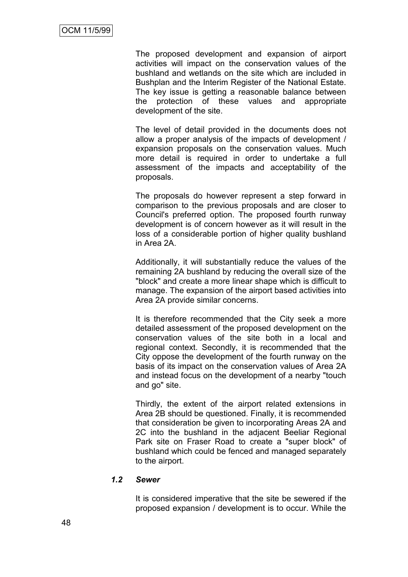The proposed development and expansion of airport activities will impact on the conservation values of the bushland and wetlands on the site which are included in Bushplan and the Interim Register of the National Estate. The key issue is getting a reasonable balance between the protection of these values and appropriate development of the site.

The level of detail provided in the documents does not allow a proper analysis of the impacts of development / expansion proposals on the conservation values. Much more detail is required in order to undertake a full assessment of the impacts and acceptability of the proposals.

The proposals do however represent a step forward in comparison to the previous proposals and are closer to Council's preferred option. The proposed fourth runway development is of concern however as it will result in the loss of a considerable portion of higher quality bushland in Area 2A.

Additionally, it will substantially reduce the values of the remaining 2A bushland by reducing the overall size of the "block" and create a more linear shape which is difficult to manage. The expansion of the airport based activities into Area 2A provide similar concerns.

It is therefore recommended that the City seek a more detailed assessment of the proposed development on the conservation values of the site both in a local and regional context. Secondly, it is recommended that the City oppose the development of the fourth runway on the basis of its impact on the conservation values of Area 2A and instead focus on the development of a nearby "touch and go" site.

Thirdly, the extent of the airport related extensions in Area 2B should be questioned. Finally, it is recommended that consideration be given to incorporating Areas 2A and 2C into the bushland in the adjacent Beeliar Regional Park site on Fraser Road to create a "super block" of bushland which could be fenced and managed separately to the airport.

#### *1.2 Sewer*

It is considered imperative that the site be sewered if the proposed expansion / development is to occur. While the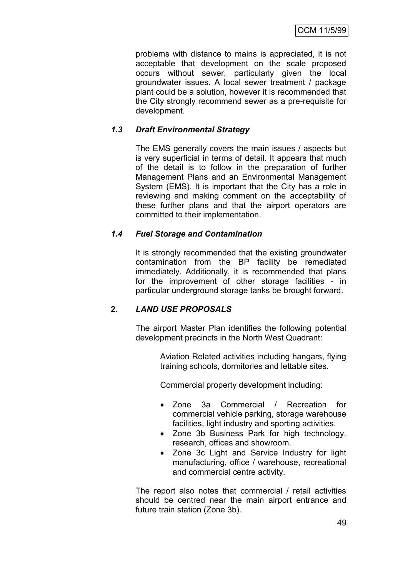problems with distance to mains is appreciated, it is not acceptable that development on the scale proposed occurs without sewer, particularly given the local groundwater issues. A local sewer treatment / package plant could be a solution, however it is recommended that the City strongly recommend sewer as a pre-requisite for development.

# *1.3 Draft Environmental Strategy*

The EMS generally covers the main issues / aspects but is very superficial in terms of detail. It appears that much of the detail is to follow in the preparation of further Management Plans and an Environmental Management System (EMS). It is important that the City has a role in reviewing and making comment on the acceptability of these further plans and that the airport operators are committed to their implementation.

# *1.4 Fuel Storage and Contamination*

It is strongly recommended that the existing groundwater contamination from the BP facility be remediated immediately. Additionally, it is recommended that plans for the improvement of other storage facilities - in particular underground storage tanks be brought forward.

# **2.** *LAND USE PROPOSALS*

The airport Master Plan identifies the following potential development precincts in the North West Quadrant:

> Aviation Related activities including hangars, flying training schools, dormitories and lettable sites.

Commercial property development including:

- Zone 3a Commercial / Recreation for commercial vehicle parking, storage warehouse facilities, light industry and sporting activities.
- Zone 3b Business Park for high technology, research, offices and showroom.
- Zone 3c Light and Service Industry for light manufacturing, office / warehouse, recreational and commercial centre activity.

The report also notes that commercial / retail activities should be centred near the main airport entrance and future train station (Zone 3b).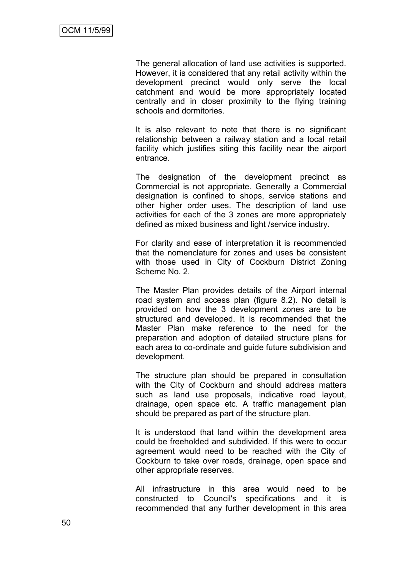The general allocation of land use activities is supported. However, it is considered that any retail activity within the development precinct would only serve the local catchment and would be more appropriately located centrally and in closer proximity to the flying training schools and dormitories.

It is also relevant to note that there is no significant relationship between a railway station and a local retail facility which justifies siting this facility near the airport entrance.

The designation of the development precinct as Commercial is not appropriate. Generally a Commercial designation is confined to shops, service stations and other higher order uses. The description of land use activities for each of the 3 zones are more appropriately defined as mixed business and light /service industry.

For clarity and ease of interpretation it is recommended that the nomenclature for zones and uses be consistent with those used in City of Cockburn District Zoning Scheme No. 2.

The Master Plan provides details of the Airport internal road system and access plan (figure 8.2). No detail is provided on how the 3 development zones are to be structured and developed. It is recommended that the Master Plan make reference to the need for the preparation and adoption of detailed structure plans for each area to co-ordinate and guide future subdivision and development.

The structure plan should be prepared in consultation with the City of Cockburn and should address matters such as land use proposals, indicative road layout, drainage, open space etc. A traffic management plan should be prepared as part of the structure plan.

It is understood that land within the development area could be freeholded and subdivided. If this were to occur agreement would need to be reached with the City of Cockburn to take over roads, drainage, open space and other appropriate reserves.

All infrastructure in this area would need to be constructed to Council's specifications and it is recommended that any further development in this area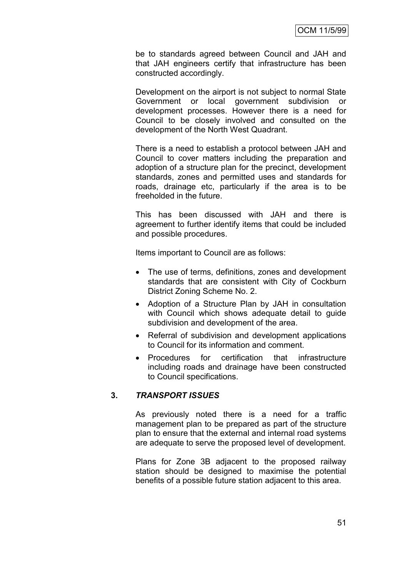be to standards agreed between Council and JAH and that JAH engineers certify that infrastructure has been constructed accordingly.

Development on the airport is not subject to normal State Government or local government subdivision or development processes. However there is a need for Council to be closely involved and consulted on the development of the North West Quadrant.

There is a need to establish a protocol between JAH and Council to cover matters including the preparation and adoption of a structure plan for the precinct, development standards, zones and permitted uses and standards for roads, drainage etc, particularly if the area is to be freeholded in the future.

This has been discussed with JAH and there is agreement to further identify items that could be included and possible procedures.

Items important to Council are as follows:

- The use of terms, definitions, zones and development standards that are consistent with City of Cockburn District Zoning Scheme No. 2.
- Adoption of a Structure Plan by JAH in consultation with Council which shows adequate detail to quide subdivision and development of the area.
- Referral of subdivision and development applications to Council for its information and comment.
- Procedures for certification that infrastructure including roads and drainage have been constructed to Council specifications.

#### **3.** *TRANSPORT ISSUES*

As previously noted there is a need for a traffic management plan to be prepared as part of the structure plan to ensure that the external and internal road systems are adequate to serve the proposed level of development.

Plans for Zone 3B adjacent to the proposed railway station should be designed to maximise the potential benefits of a possible future station adjacent to this area.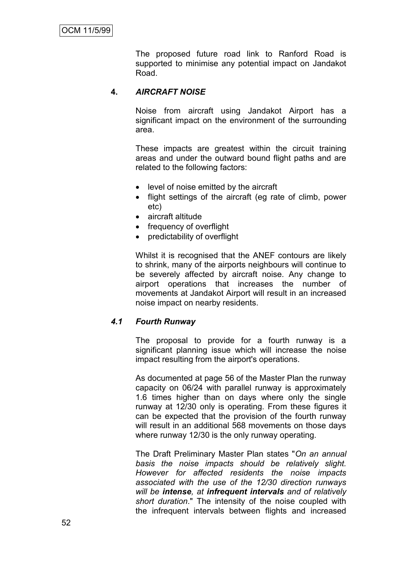The proposed future road link to Ranford Road is supported to minimise any potential impact on Jandakot Road.

# **4.** *AIRCRAFT NOISE*

Noise from aircraft using Jandakot Airport has a significant impact on the environment of the surrounding area.

These impacts are greatest within the circuit training areas and under the outward bound flight paths and are related to the following factors:

- level of noise emitted by the aircraft
- flight settings of the aircraft (eg rate of climb, power etc)
- aircraft altitude
- frequency of overflight
- predictability of overflight

Whilst it is recognised that the ANEF contours are likely to shrink, many of the airports neighbours will continue to be severely affected by aircraft noise. Any change to airport operations that increases the number of movements at Jandakot Airport will result in an increased noise impact on nearby residents.

#### *4.1 Fourth Runway*

The proposal to provide for a fourth runway is a significant planning issue which will increase the noise impact resulting from the airport's operations.

As documented at page 56 of the Master Plan the runway capacity on 06/24 with parallel runway is approximately 1.6 times higher than on days where only the single runway at 12/30 only is operating. From these figures it can be expected that the provision of the fourth runway will result in an additional 568 movements on those days where runway 12/30 is the only runway operating.

The Draft Preliminary Master Plan states "*On an annual basis the noise impacts should be relatively slight. However for affected residents the noise impacts associated with the use of the 12/30 direction runways will be intense, at infrequent intervals and of relatively short duration*." The intensity of the noise coupled with the infrequent intervals between flights and increased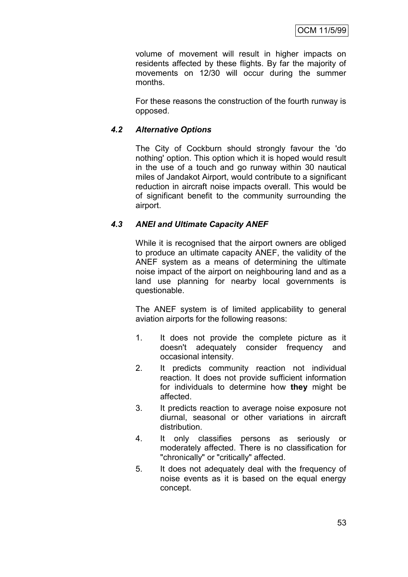volume of movement will result in higher impacts on residents affected by these flights. By far the majority of movements on 12/30 will occur during the summer months.

For these reasons the construction of the fourth runway is opposed.

## *4.2 Alternative Options*

The City of Cockburn should strongly favour the 'do nothing' option. This option which it is hoped would result in the use of a touch and go runway within 30 nautical miles of Jandakot Airport, would contribute to a significant reduction in aircraft noise impacts overall. This would be of significant benefit to the community surrounding the airport.

## *4.3 ANEI and Ultimate Capacity ANEF*

While it is recognised that the airport owners are obliged to produce an ultimate capacity ANEF, the validity of the ANEF system as a means of determining the ultimate noise impact of the airport on neighbouring land and as a land use planning for nearby local governments is questionable.

The ANEF system is of limited applicability to general aviation airports for the following reasons:

- 1. It does not provide the complete picture as it doesn't adequately consider frequency and occasional intensity.
- 2. It predicts community reaction not individual reaction. It does not provide sufficient information for individuals to determine how **they** might be affected.
- 3. It predicts reaction to average noise exposure not diurnal, seasonal or other variations in aircraft distribution.
- 4. It only classifies persons as seriously or moderately affected. There is no classification for "chronically" or "critically" affected.
- 5. It does not adequately deal with the frequency of noise events as it is based on the equal energy concept.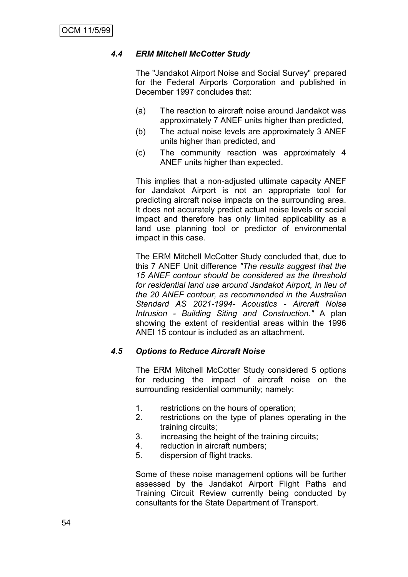#### *4.4 ERM Mitchell McCotter Study*

The "Jandakot Airport Noise and Social Survey" prepared for the Federal Airports Corporation and published in December 1997 concludes that:

- (a) The reaction to aircraft noise around Jandakot was approximately 7 ANEF units higher than predicted,
- (b) The actual noise levels are approximately 3 ANEF units higher than predicted, and
- (c) The community reaction was approximately 4 ANEF units higher than expected.

This implies that a non-adjusted ultimate capacity ANEF for Jandakot Airport is not an appropriate tool for predicting aircraft noise impacts on the surrounding area. It does not accurately predict actual noise levels or social impact and therefore has only limited applicability as a land use planning tool or predictor of environmental impact in this case.

The ERM Mitchell McCotter Study concluded that, due to this 7 ANEF Unit difference *"The results suggest that the 15 ANEF contour should be considered as the threshold for residential land use around Jandakot Airport, in lieu of the 20 ANEF contour, as recommended in the Australian Standard AS 2021-1994- Acoustics - Aircraft Noise Intrusion - Building Siting and Construction."* A plan showing the extent of residential areas within the 1996 ANEI 15 contour is included as an attachment.

#### *4.5 Options to Reduce Aircraft Noise*

The ERM Mitchell McCotter Study considered 5 options for reducing the impact of aircraft noise on the surrounding residential community; namely:

- 1. restrictions on the hours of operation;
- 2. restrictions on the type of planes operating in the training circuits;
- 3. increasing the height of the training circuits;
- 4. reduction in aircraft numbers;
- 5. dispersion of flight tracks.

Some of these noise management options will be further assessed by the Jandakot Airport Flight Paths and Training Circuit Review currently being conducted by consultants for the State Department of Transport.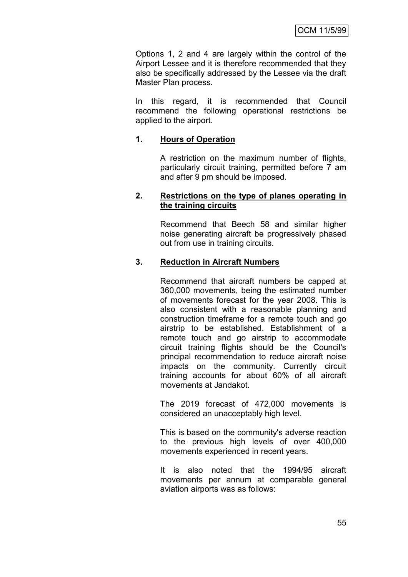Options 1, 2 and 4 are largely within the control of the Airport Lessee and it is therefore recommended that they also be specifically addressed by the Lessee via the draft Master Plan process.

In this regard, it is recommended that Council recommend the following operational restrictions be applied to the airport.

#### **1. Hours of Operation**

A restriction on the maximum number of flights, particularly circuit training, permitted before 7 am and after 9 pm should be imposed.

#### **2. Restrictions on the type of planes operating in the training circuits**

Recommend that Beech 58 and similar higher noise generating aircraft be progressively phased out from use in training circuits.

#### **3. Reduction in Aircraft Numbers**

Recommend that aircraft numbers be capped at 360,000 movements, being the estimated number of movements forecast for the year 2008. This is also consistent with a reasonable planning and construction timeframe for a remote touch and go airstrip to be established. Establishment of a remote touch and go airstrip to accommodate circuit training flights should be the Council's principal recommendation to reduce aircraft noise impacts on the community. Currently circuit training accounts for about 60% of all aircraft movements at Jandakot.

The 2019 forecast of 472,000 movements is considered an unacceptably high level.

This is based on the community's adverse reaction to the previous high levels of over 400,000 movements experienced in recent years.

It is also noted that the 1994/95 aircraft movements per annum at comparable general aviation airports was as follows: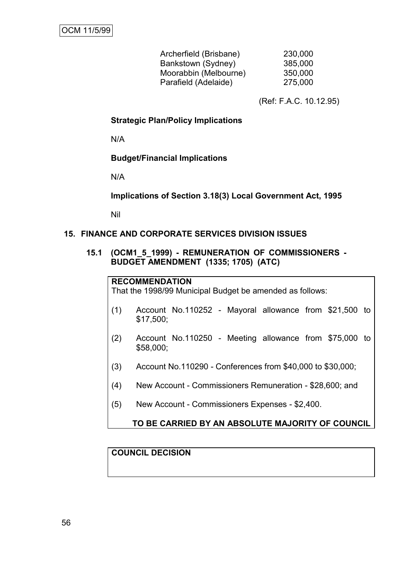| 230,000 |
|---------|
| 385,000 |
| 350,000 |
| 275,000 |
|         |

(Ref: F.A.C. 10.12.95)

**Strategic Plan/Policy Implications**

N/A

**Budget/Financial Implications**

N/A

**Implications of Section 3.18(3) Local Government Act, 1995**

Nil

#### **15. FINANCE AND CORPORATE SERVICES DIVISION ISSUES**

#### **15.1 (OCM1\_5\_1999) - REMUNERATION OF COMMISSIONERS - BUDGET AMENDMENT (1335; 1705) (ATC)**

#### **RECOMMENDATION**

That the 1998/99 Municipal Budget be amended as follows:

- (1) Account No.110252 Mayoral allowance from \$21,500 to \$17,500;
- (2) Account No.110250 Meeting allowance from \$75,000 to \$58,000;
- (3) Account No.110290 Conferences from \$40,000 to \$30,000;
- (4) New Account Commissioners Remuneration \$28,600; and
- (5) New Account Commissioners Expenses \$2,400.

#### **TO BE CARRIED BY AN ABSOLUTE MAJORITY OF COUNCIL**

## **COUNCIL DECISION**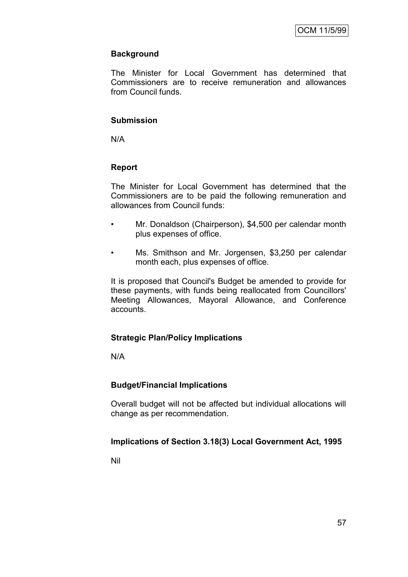# **Background**

The Minister for Local Government has determined that Commissioners are to receive remuneration and allowances from Council funds.

# **Submission**

N/A

# **Report**

The Minister for Local Government has determined that the Commissioners are to be paid the following remuneration and allowances from Council funds:

- Mr. Donaldson (Chairperson), \$4,500 per calendar month plus expenses of office.
- Ms. Smithson and Mr. Jorgensen, \$3,250 per calendar month each, plus expenses of office.

It is proposed that Council's Budget be amended to provide for these payments, with funds being reallocated from Councillors' Meeting Allowances, Mayoral Allowance, and Conference accounts.

# **Strategic Plan/Policy Implications**

N/A

# **Budget/Financial Implications**

Overall budget will not be affected but individual allocations will change as per recommendation.

# **Implications of Section 3.18(3) Local Government Act, 1995**

Nil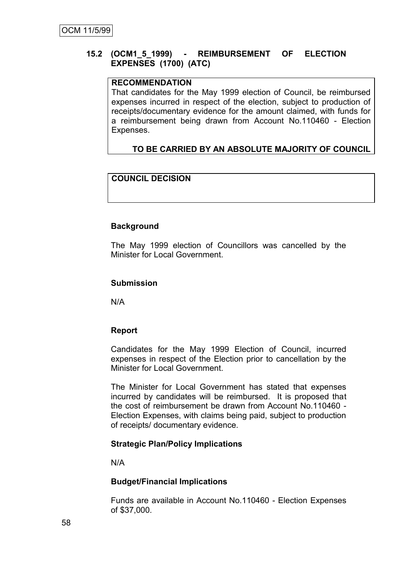## **15.2 (OCM1\_5\_1999) - REIMBURSEMENT OF ELECTION EXPENSES (1700) (ATC)**

# **RECOMMENDATION**

That candidates for the May 1999 election of Council, be reimbursed expenses incurred in respect of the election, subject to production of receipts/documentary evidence for the amount claimed, with funds for a reimbursement being drawn from Account No.110460 - Election Expenses.

# **TO BE CARRIED BY AN ABSOLUTE MAJORITY OF COUNCIL**

# **COUNCIL DECISION**

#### **Background**

The May 1999 election of Councillors was cancelled by the Minister for Local Government.

#### **Submission**

N/A

#### **Report**

Candidates for the May 1999 Election of Council, incurred expenses in respect of the Election prior to cancellation by the Minister for Local Government.

The Minister for Local Government has stated that expenses incurred by candidates will be reimbursed. It is proposed that the cost of reimbursement be drawn from Account No.110460 - Election Expenses, with claims being paid, subject to production of receipts/ documentary evidence.

#### **Strategic Plan/Policy Implications**

N/A

#### **Budget/Financial Implications**

Funds are available in Account No.110460 - Election Expenses of \$37,000.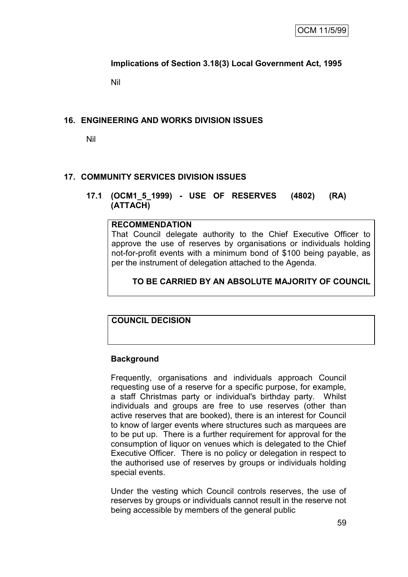# **Implications of Section 3.18(3) Local Government Act, 1995**

Nil

# **16. ENGINEERING AND WORKS DIVISION ISSUES**

Nil

# **17. COMMUNITY SERVICES DIVISION ISSUES**

#### **17.1 (OCM1\_5\_1999) - USE OF RESERVES (4802) (RA) (ATTACH)**

#### **RECOMMENDATION**

That Council delegate authority to the Chief Executive Officer to approve the use of reserves by organisations or individuals holding not-for-profit events with a minimum bond of \$100 being payable, as per the instrument of delegation attached to the Agenda.

## **TO BE CARRIED BY AN ABSOLUTE MAJORITY OF COUNCIL**

# **COUNCIL DECISION**

#### **Background**

Frequently, organisations and individuals approach Council requesting use of a reserve for a specific purpose, for example, a staff Christmas party or individual's birthday party. Whilst individuals and groups are free to use reserves (other than active reserves that are booked), there is an interest for Council to know of larger events where structures such as marquees are to be put up. There is a further requirement for approval for the consumption of liquor on venues which is delegated to the Chief Executive Officer. There is no policy or delegation in respect to the authorised use of reserves by groups or individuals holding special events.

Under the vesting which Council controls reserves, the use of reserves by groups or individuals cannot result in the reserve not being accessible by members of the general public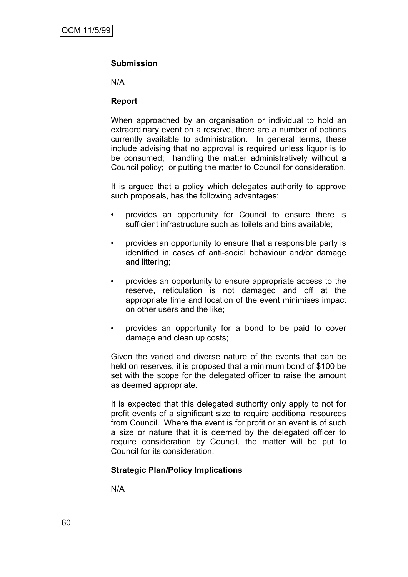#### **Submission**

N/A

#### **Report**

When approached by an organisation or individual to hold an extraordinary event on a reserve, there are a number of options currently available to administration. In general terms, these include advising that no approval is required unless liquor is to be consumed; handling the matter administratively without a Council policy; or putting the matter to Council for consideration.

It is argued that a policy which delegates authority to approve such proposals, has the following advantages:

- **•** provides an opportunity for Council to ensure there is sufficient infrastructure such as toilets and bins available;
- **•** provides an opportunity to ensure that a responsible party is identified in cases of anti-social behaviour and/or damage and littering;
- **•** provides an opportunity to ensure appropriate access to the reserve, reticulation is not damaged and off at the appropriate time and location of the event minimises impact on other users and the like;
- **•** provides an opportunity for a bond to be paid to cover damage and clean up costs;

Given the varied and diverse nature of the events that can be held on reserves, it is proposed that a minimum bond of \$100 be set with the scope for the delegated officer to raise the amount as deemed appropriate.

It is expected that this delegated authority only apply to not for profit events of a significant size to require additional resources from Council. Where the event is for profit or an event is of such a size or nature that it is deemed by the delegated officer to require consideration by Council, the matter will be put to Council for its consideration.

#### **Strategic Plan/Policy Implications**

N/A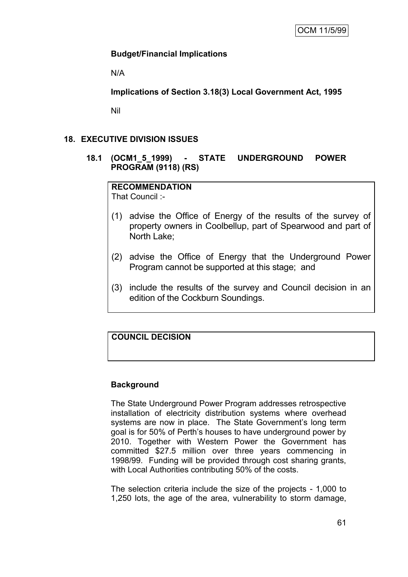# **Budget/Financial Implications**

N/A

**Implications of Section 3.18(3) Local Government Act, 1995**

Nil

# **18. EXECUTIVE DIVISION ISSUES**

**18.1 (OCM1\_5\_1999) - STATE UNDERGROUND POWER PROGRAM (9118) (RS)**

# **RECOMMENDATION**

That Council :-

- (1) advise the Office of Energy of the results of the survey of property owners in Coolbellup, part of Spearwood and part of North Lake;
- (2) advise the Office of Energy that the Underground Power Program cannot be supported at this stage; and
- (3) include the results of the survey and Council decision in an edition of the Cockburn Soundings.

# **COUNCIL DECISION**

# **Background**

The State Underground Power Program addresses retrospective installation of electricity distribution systems where overhead systems are now in place. The State Government's long term goal is for 50% of Perth"s houses to have underground power by 2010. Together with Western Power the Government has committed \$27.5 million over three years commencing in 1998/99. Funding will be provided through cost sharing grants, with Local Authorities contributing 50% of the costs.

The selection criteria include the size of the projects - 1,000 to 1,250 lots, the age of the area, vulnerability to storm damage,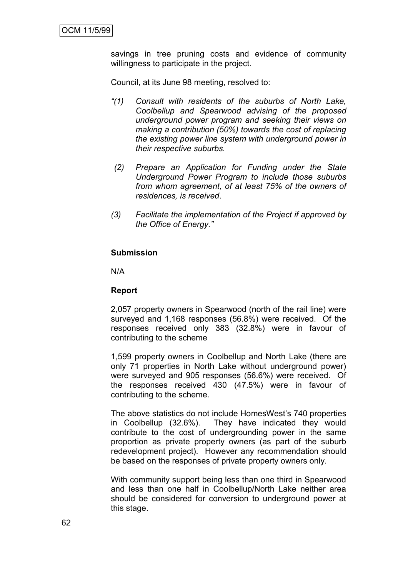savings in tree pruning costs and evidence of community willingness to participate in the project.

Council, at its June 98 meeting, resolved to:

- *"(1) Consult with residents of the suburbs of North Lake, Coolbellup and Spearwood advising of the proposed underground power program and seeking their views on making a contribution (50%) towards the cost of replacing the existing power line system with underground power in their respective suburbs.*
- *(2) Prepare an Application for Funding under the State Underground Power Program to include those suburbs from whom agreement, of at least 75% of the owners of residences, is received*.
- *(3) Facilitate the implementation of the Project if approved by the Office of Energy."*

#### **Submission**

N/A

#### **Report**

2,057 property owners in Spearwood (north of the rail line) were surveyed and 1,168 responses (56.8%) were received. Of the responses received only 383 (32.8%) were in favour of contributing to the scheme

1,599 property owners in Coolbellup and North Lake (there are only 71 properties in North Lake without underground power) were surveyed and 905 responses (56.6%) were received. Of the responses received 430 (47.5%) were in favour of contributing to the scheme.

The above statistics do not include HomesWest"s 740 properties in Coolbellup (32.6%). They have indicated they would contribute to the cost of undergrounding power in the same proportion as private property owners (as part of the suburb redevelopment project). However any recommendation should be based on the responses of private property owners only.

With community support being less than one third in Spearwood and less than one half in Coolbellup/North Lake neither area should be considered for conversion to underground power at this stage.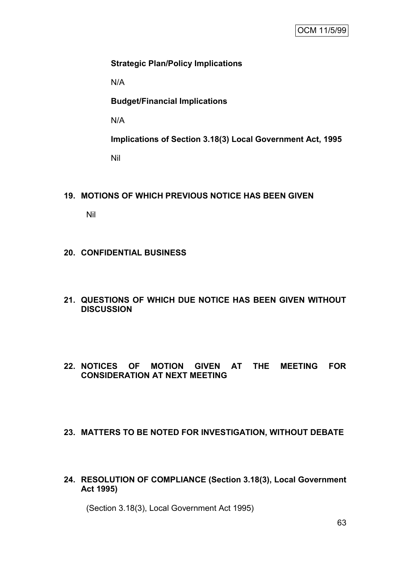# **Strategic Plan/Policy Implications**

N/A

**Budget/Financial Implications**

N/A

**Implications of Section 3.18(3) Local Government Act, 1995** Nil

## **19. MOTIONS OF WHICH PREVIOUS NOTICE HAS BEEN GIVEN**

Nil

## **20. CONFIDENTIAL BUSINESS**

- **21. QUESTIONS OF WHICH DUE NOTICE HAS BEEN GIVEN WITHOUT DISCUSSION**
- **22. NOTICES OF MOTION GIVEN AT THE MEETING FOR CONSIDERATION AT NEXT MEETING**

#### **23. MATTERS TO BE NOTED FOR INVESTIGATION, WITHOUT DEBATE**

**24. RESOLUTION OF COMPLIANCE (Section 3.18(3), Local Government Act 1995)**

(Section 3.18(3), Local Government Act 1995)